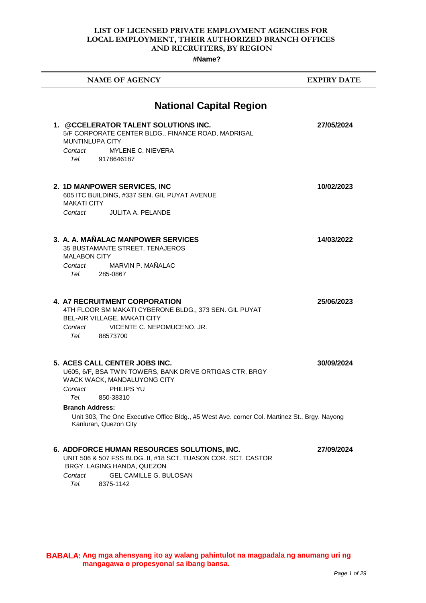#### **LIST OF LICENSED PRIVATE EMPLOYMENT AGENCIES FOR LOCAL EMPLOYMENT, THEIR AUTHORIZED BRANCH OFFICES AND RECRUITERS, BY REGION**

**#Name?**

| <b>NAME OF AGENCY</b>                                                                                                                                                                                                                                                                             | <b>EXPIRY DATE</b> |
|---------------------------------------------------------------------------------------------------------------------------------------------------------------------------------------------------------------------------------------------------------------------------------------------------|--------------------|
| <b>National Capital Region</b><br>1. @CCELERATOR TALENT SOLUTIONS INC.                                                                                                                                                                                                                            | 27/05/2024         |
| 5/F CORPORATE CENTER BLDG., FINANCE ROAD, MADRIGAL<br><b>MUNTINLUPA CITY</b><br>MYLENE C. NIEVERA<br>Contact<br>Tel. 9178646187                                                                                                                                                                   |                    |
| 2. 1D MANPOWER SERVICES, INC.<br>605 ITC BUILDING, #337 SEN. GIL PUYAT AVENUE<br><b>MAKATI CITY</b><br><b>JULITA A. PELANDE</b><br>Contact                                                                                                                                                        | 10/02/2023         |
| 3. A. A. MAÑALAC MANPOWER SERVICES<br>35 BUSTAMANTE STREET, TENAJEROS<br><b>MALABON CITY</b><br>MARVIN P. MAÑALAC<br>Contact<br>Tel. 285-0867                                                                                                                                                     | 14/03/2022         |
| <b>4. A7 RECRUITMENT CORPORATION</b><br>4TH FLOOR SM MAKATI CYBERONE BLDG., 373 SEN. GIL PUYAT<br>BEL-AIR VILLAGE, MAKATI CITY<br>VICENTE C. NEPOMUCENO, JR.<br>Contact<br>Tel. 88573700                                                                                                          | 25/06/2023         |
| 5. ACES CALL CENTER JOBS INC.<br>U605, 6/F, BSA TWIN TOWERS, BANK DRIVE ORTIGAS CTR, BRGY<br>WACK WACK, MANDALUYONG CITY<br>PHILIPS YU<br>Contact<br>Tel.<br>850-38310<br><b>Branch Address:</b><br>Unit 303, The One Executive Office Bldg., #5 West Ave. corner Col. Martinez St., Brgy. Nayong | 30/09/2024         |
| Kanluran, Quezon City<br>6. ADDFORCE HUMAN RESOURCES SOLUTIONS, INC.                                                                                                                                                                                                                              | 27/09/2024         |
| UNIT 506 & 507 FSS BLDG. II, #18 SCT. TUASON COR. SCT. CASTOR<br>BRGY. LAGING HANDA, QUEZON<br><b>GEL CAMILLE G. BULOSAN</b><br>Contact<br>Tel.<br>8375-1142                                                                                                                                      |                    |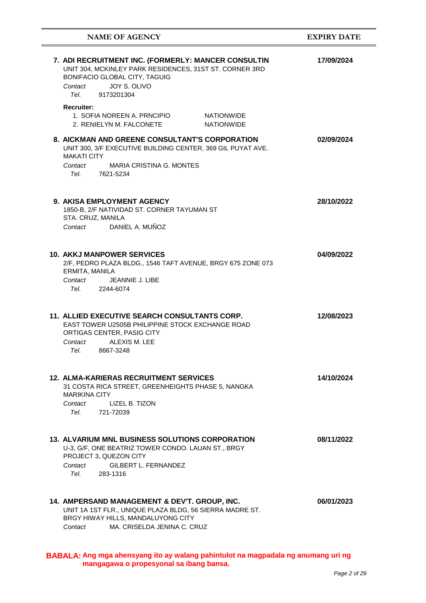| <b>NAME OF AGENCY</b>                                                                                                                                                                                                                                                                                      | <b>EXPIRY DATE</b> |
|------------------------------------------------------------------------------------------------------------------------------------------------------------------------------------------------------------------------------------------------------------------------------------------------------------|--------------------|
| 7. ADI RECRUITMENT INC. (FORMERLY: MANCER CONSULTIN<br>UNIT 304, MCKINLEY PARK RESIDENCES, 31ST ST. CORNER 3RD<br>BONIFACIO GLOBAL CITY, TAGUIG<br>JOY S. OLIVO<br>Contact<br>Tel. Telection of the Telection of the Telection of the Telection of the Telection of the Telection of the Tel<br>9173201304 | 17/09/2024         |
| <b>Recruiter:</b><br>1. SOFIA NOREEN A. PRNCIPIO<br><b>NATIONWIDE</b><br>2. RENIELYN M. FALCONETE<br><b>NATIONWIDE</b>                                                                                                                                                                                     |                    |
| 8. AICKMAN AND GREENE CONSULTANT'S CORPORATION<br>UNIT 300, 3/F EXECUTIVE BUILDING CENTER, 369 GIL PUYAT AVE.<br><b>MAKATI CITY</b><br><b>MARIA CRISTINA G. MONTES</b><br>Contact<br>7621-5234<br>Tel.                                                                                                     | 02/09/2024         |
| <b>9. AKISA EMPLOYMENT AGENCY</b><br>1850-B, 2/F NATIVIDAD ST. CORNER TAYUMAN ST<br>STA. CRUZ, MANILA<br>DANIEL A. MUÑOZ<br>Contact                                                                                                                                                                        | 28/10/2022         |
| <b>10. AKKJ MANPOWER SERVICES</b><br>2/F, PEDRO PLAZA BLDG., 1546 TAFT AVENUE, BRGY 675 ZONE 073<br>ERMITA, MANILA<br>Contact<br><b>JEANNIE J. LIBE</b><br>Tel.<br>2244-6074                                                                                                                               | 04/09/2022         |
| <b>11. ALLIED EXECUTIVE SEARCH CONSULTANTS CORP.</b><br>EAST TOWER U2505B PHILIPPINE STOCK EXCHANGE ROAD<br>ORTIGAS CENTER, PASIG CITY<br>ALEXIS M. LEE<br>Contact<br>Tel. 8667-3248                                                                                                                       | 12/08/2023         |
| <b>12. ALMA-KARIERAS RECRUITMENT SERVICES</b><br>31 COSTA RICA STREET, GREENHEIGHTS PHASE 5, NANGKA<br><b>MARIKINA CITY</b><br>Contact<br>LIZEL B. TIZON<br>Tel.<br>721-72039                                                                                                                              | 14/10/2024         |
| <b>13. ALVARIUM MNL BUSINESS SOLUTIONS CORPORATION</b><br>U-3, G/F, ONE BEATRIZ TOWER CONDO. LAUAN ST., BRGY<br>PROJECT 3, QUEZON CITY<br>GILBERT L. FERNANDEZ<br>Contact<br>Tel. Teles<br>283-1316                                                                                                        | 08/11/2022         |
| 14. AMPERSAND MANAGEMENT & DEV'T. GROUP, INC.<br>UNIT 1A 1ST FLR., UNIQUE PLAZA BLDG, 56 SIERRA MADRE ST.<br>BRGY HIWAY HILLS, MANDALUYONG CITY<br>MA. CRISELDA JENINA C. CRUZ<br>Contact                                                                                                                  | 06/01/2023         |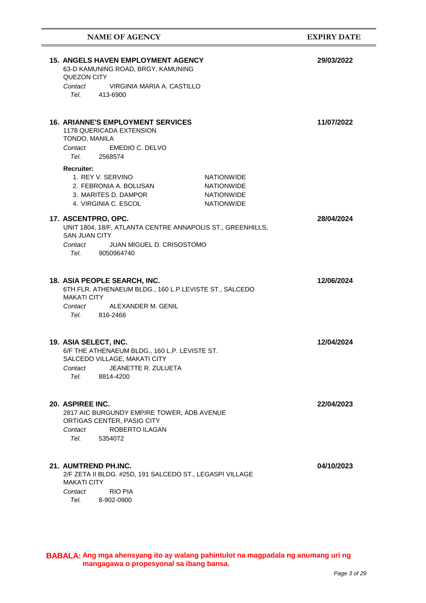| <b>NAME OF AGENCY</b>                                                                                                                                                                                | <b>EXPIRY DATE</b> |
|------------------------------------------------------------------------------------------------------------------------------------------------------------------------------------------------------|--------------------|
| <b>15. ANGELS HAVEN EMPLOYMENT AGENCY</b><br>63-D KAMUNING ROAD, BRGY. KAMUNING<br>QUEZON CITY                                                                                                       | 29/03/2022         |
| VIRGINIA MARIA A. CASTILLO<br>Contact<br>Tel.<br>413-6900                                                                                                                                            |                    |
| <b>16. ARIANNE'S EMPLOYMENT SERVICES</b><br>1178 QUERICADA EXTENSION<br>TONDO, MANILA<br>Contact<br>EMEDIO C. DELVO<br>Tel. Teles<br>2568574                                                         | 11/07/2022         |
| <b>Recruiter:</b><br>1. REY V. SERVINO<br><b>NATIONWIDE</b><br>2. FEBRONIA A. BOLUSAN<br><b>NATIONWIDE</b><br>3. MARITES D. DAMPOR<br><b>NATIONWIDE</b><br><b>NATIONWIDE</b><br>4. VIRGINIA C. ESCOL |                    |
| 17. ASCENTPRO, OPC.<br>UNIT 1804, 18/F, ATLANTA CENTRE ANNAPOLIS ST., GREENHILLS,<br><b>SAN JUAN CITY</b><br>JUAN MIGUEL D. CRISOSTOMO<br>Contact<br>Tel.<br>9050964740                              | 28/04/2024         |
| 18. ASIA PEOPLE SEARCH, INC.<br>6TH FLR. ATHENAEUM BLDG., 160 L.P.LEVISTE ST., SALCEDO<br><b>MAKATI CITY</b><br>ALEXANDER M. GENIL<br>Contact<br>Tel. 816-2466                                       | 12/06/2024         |
| 19. ASIA SELECT, INC.<br>6/F THE ATHENAEUM BLDG., 160 L.P. LEVISTE ST.<br>SALCEDO VILLAGE, MAKATI CITY<br>JEANETTE R. ZULUETA<br>Contact<br>Tel.<br>8814-4200                                        | 12/04/2024         |
| 20. ASPIREE INC.<br>2817 AIC BURGUNDY EMPIRE TOWER, ADB AVENUE<br>ORTIGAS CENTER, PASIG CITY<br><b>ROBERTO ILAGAN</b><br>Contact<br>Tel.<br>5354072                                                  | 22/04/2023         |
| 21. AUMTREND PH.INC.<br>2/F ZETA II BLDG. #25D, 191 SALCEDO ST., LEGASPI VILLAGE<br><b>MAKATI CITY</b><br><b>RIO PIA</b><br>Contact<br>Tel.<br>8-902-0900                                            | 04/10/2023         |

÷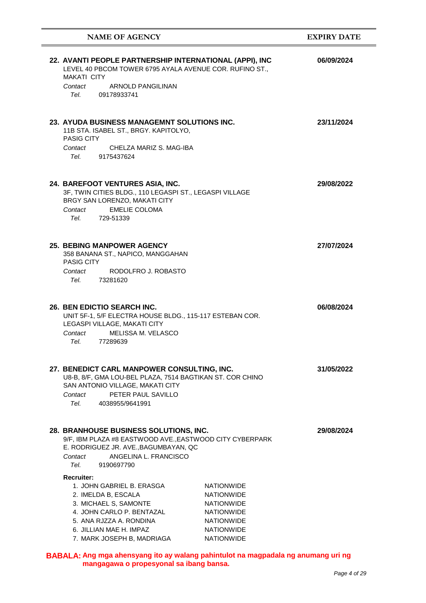| <b>NAME OF AGENCY</b>                                                                                                                                                                                                                                                                                                                                              | <b>EXPIRY DATE</b> |
|--------------------------------------------------------------------------------------------------------------------------------------------------------------------------------------------------------------------------------------------------------------------------------------------------------------------------------------------------------------------|--------------------|
| 22. AVANTI PEOPLE PARTNERSHIP INTERNATIONAL (APPI), INC<br>LEVEL 40 PBCOM TOWER 6795 AYALA AVENUE COR. RUFINO ST.,<br><b>MAKATI CITY</b>                                                                                                                                                                                                                           | 06/09/2024         |
| <b>ARNOLD PANGILINAN</b><br>Contact<br>Tel. Telection of the Telection of the Telection of the Telection of the Telection of the Telection of the Tel<br>09178933741                                                                                                                                                                                               |                    |
| 23. AYUDA BUSINESS MANAGEMNT SOLUTIONS INC.<br>11B STA. ISABEL ST., BRGY. KAPITOLYO,<br><b>PASIG CITY</b><br>CHELZA MARIZ S. MAG-IBA<br>Contact                                                                                                                                                                                                                    | 23/11/2024         |
| Tel. Teles<br>9175437624<br>24. BAREFOOT VENTURES ASIA, INC.<br>3F, TWIN CITIES BLDG., 110 LEGASPI ST., LEGASPI VILLAGE<br>BRGY SAN LORENZO, MAKATI CITY<br><b>EMELIE COLOMA</b><br>Contact<br>Tel. Telection of the Telection of the Telection of the Telection of the Telection of the Telection of the Tel<br>729-51339                                         | 29/08/2022         |
| <b>25. BEBING MANPOWER AGENCY</b><br>358 BANANA ST., NAPICO, MANGGAHAN<br>PASIG CITY<br>RODOLFRO J. ROBASTO<br>Contact<br>Tel. Teles<br>73281620                                                                                                                                                                                                                   | 27/07/2024         |
| 26. BEN EDICTIO SEARCH INC.<br>UNIT 5F-1, 5/F ELECTRA HOUSE BLDG., 115-117 ESTEBAN COR.<br>LEGASPI VILLAGE, MAKATI CITY<br>Contact<br>MELISSA M. VELASCO<br>Tel.<br>77289639                                                                                                                                                                                       | 06/08/2024         |
| 27. BENEDICT CARL MANPOWER CONSULTING, INC.<br>U8-B, 8/F, GMA LOU-BEL PLAZA, 7514 BAGTIKAN ST. COR CHINO<br>SAN ANTONIO VILLAGE, MAKATI CITY<br>PETER PAUL SAVILLO<br>Contact<br>Tel.<br>4038955/9641991                                                                                                                                                           | 31/05/2022         |
| 28. BRANHOUSE BUSINESS SOLUTIONS, INC.<br>9/F, IBM PLAZA #8 EASTWOOD AVE., EASTWOOD CITY CYBERPARK<br>E. RODRIGUEZ JR. AVE., BAGUMBAYAN, QC<br>ANGELINA L. FRANCISCO<br>Contact<br>Tel. Teles<br>9190697790                                                                                                                                                        | 29/08/2024         |
| <b>Recruiter:</b><br>1. JOHN GABRIEL B. ERASGA<br><b>NATIONWIDE</b><br><b>NATIONWIDE</b><br>2. IMELDA B, ESCALA<br>3. MICHAEL S, SAMONTE<br><b>NATIONWIDE</b><br>4. JOHN CARLO P. BENTAZAL<br><b>NATIONWIDE</b><br>5. ANA RJZZA A. RONDINA<br><b>NATIONWIDE</b><br>6. JILLIAN MAE H. IMPAZ<br><b>NATIONWIDE</b><br><b>NATIONWIDE</b><br>7. MARK JOSEPH B, MADRIAGA |                    |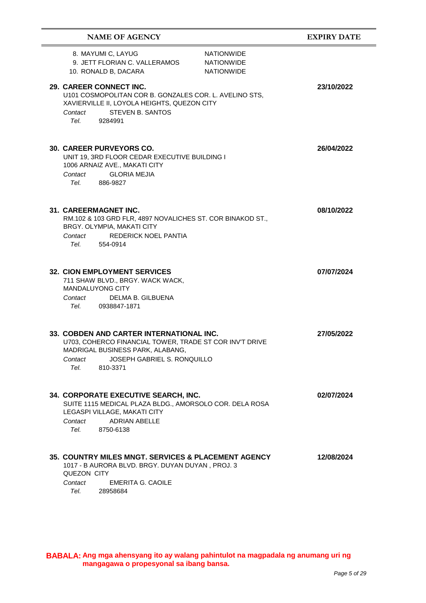| <b>NAME OF AGENCY</b>                                                                                                                                                                                 |                                                             | <b>EXPIRY DATE</b> |
|-------------------------------------------------------------------------------------------------------------------------------------------------------------------------------------------------------|-------------------------------------------------------------|--------------------|
| 8. MAYUMI C, LAYUG<br>9. JETT FLORIAN C. VALLERAMOS<br>10. RONALD B, DACARA                                                                                                                           | <b>NATIONWIDE</b><br><b>NATIONWIDE</b><br><b>NATIONWIDE</b> |                    |
| 29. CAREER CONNECT INC.<br>U101 COSMOPOLITAN COR B. GONZALES COR. L. AVELINO STS,<br>XAVIERVILLE II, LOYOLA HEIGHTS, QUEZON CITY<br><b>STEVEN B. SANTOS</b><br>Contact<br>9284991<br>Tel. Teles       |                                                             | 23/10/2022         |
| <b>30. CAREER PURVEYORS CO.</b><br>UNIT 19, 3RD FLOOR CEDAR EXECUTIVE BUILDING I<br>1006 ARNAIZ AVE., MAKATI CITY<br><b>GLORIA MEJIA</b><br>Contact<br>886-9827<br>Tel. Teles                         |                                                             | 26/04/2022         |
| 31. CAREERMAGNET INC.<br>RM.102 & 103 GRD FLR, 4897 NOVALICHES ST. COR BINAKOD ST.,<br>BRGY. OLYMPIA, MAKATI CITY<br>Contact<br><b>REDERICK NOEL PANTIA</b><br>Tel.<br>554-0914                       |                                                             | 08/10/2022         |
| <b>32. CION EMPLOYMENT SERVICES</b><br>711 SHAW BLVD., BRGY. WACK WACK,<br><b>MANDALUYONG CITY</b><br>Contact<br>DELMA B. GILBUENA<br>Tel.<br>0938847-1871                                            |                                                             | 07/07/2024         |
| 33. COBDEN AND CARTER INTERNATIONAL INC.<br>U703, COHERCO FINANCIAL TOWER, TRADE ST COR INV'T DRIVE<br>MADRIGAL BUSINESS PARK, ALABANG,<br>JOSEPH GABRIEL S. RONQUILLO<br>Contact<br>Tel.<br>810-3371 |                                                             | 27/05/2022         |
| 34. CORPORATE EXECUTIVE SEARCH, INC.<br>SUITE 1115 MEDICAL PLAZA BLDG., AMORSOLO COR. DELA ROSA<br>LEGASPI VILLAGE, MAKATI CITY<br>Contact<br><b>ADRIAN ABELLE</b><br>Tel.<br>8750-6138               |                                                             | 02/07/2024         |
| 35. COUNTRY MILES MNGT. SERVICES & PLACEMENT AGENCY<br>1017 - B AURORA BLVD. BRGY. DUYAN DUYAN, PROJ. 3<br>QUEZON CITY<br><b>EMERITA G. CAOILE</b><br>Contact<br>Tel.<br>28958684                     |                                                             | 12/08/2024         |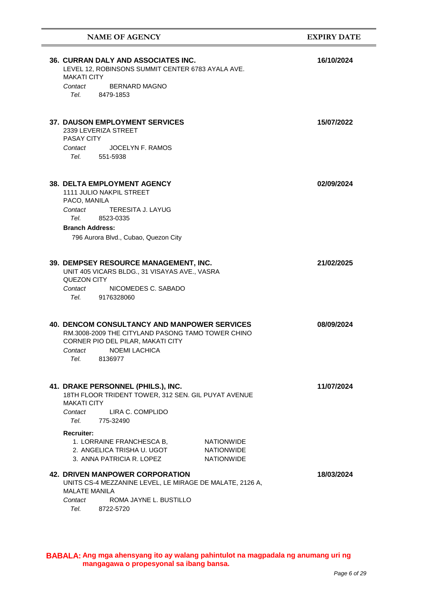| <b>NAME OF AGENCY</b>                                                                                                                                                                                        | <b>EXPIRY DATE</b> |
|--------------------------------------------------------------------------------------------------------------------------------------------------------------------------------------------------------------|--------------------|
| <b>36. CURRAN DALY AND ASSOCIATES INC.</b><br>LEVEL 12, ROBINSONS SUMMIT CENTER 6783 AYALA AVE.<br><b>MAKATI CITY</b><br><b>BERNARD MAGNO</b><br>Contact<br>Tel. 8479-1853                                   | 16/10/2024         |
| <b>37. DAUSON EMPLOYMENT SERVICES</b><br>2339 LEVERIZA STREET<br><b>PASAY CITY</b><br>JOCELYN F. RAMOS<br>Contact<br>Tel.<br>551-5938                                                                        | 15/07/2022         |
| <b>38. DELTA EMPLOYMENT AGENCY</b><br><b>1111 JULIO NAKPIL STREET</b><br>PACO, MANILA<br>Contact<br>TERESITA J. LAYUG<br>Tel.<br>8523-0335<br><b>Branch Address:</b><br>796 Aurora Blvd., Cubao, Quezon City | 02/09/2024         |
| 39. DEMPSEY RESOURCE MANAGEMENT, INC.<br>UNIT 405 VICARS BLDG., 31 VISAYAS AVE., VASRA<br>QUEZON CITY<br>NICOMEDES C. SABADO<br>Contact<br>Tel. Teles<br>9176328060                                          | 21/02/2025         |
| <b>40. DENCOM CONSULTANCY AND MANPOWER SERVICES</b><br>RM.3008-2009 THE CITYLAND PASONG TAMO TOWER CHINO<br>CORNER PIO DEL PILAR, MAKATI CITY<br><b>NOEMI LACHICA</b><br>Contact<br>Tel.<br>8136977          | 08/09/2024         |
| 41. DRAKE PERSONNEL (PHILS.), INC.<br>18TH FLOOR TRIDENT TOWER, 312 SEN. GIL PUYAT AVENUE<br><b>MAKATI CITY</b><br>Contact<br>LIRA C. COMPLIDO<br>Tel.<br>775-32490                                          | 11/07/2024         |
| <b>Recruiter:</b><br>1. LORRAINE FRANCHESCA B,<br><b>NATIONWIDE</b><br>2. ANGELICA TRISHA U. UGOT<br><b>NATIONWIDE</b><br>3. ANNA PATRICIA R. LOPEZ<br><b>NATIONWIDE</b>                                     |                    |
| <b>42. DRIVEN MANPOWER CORPORATION</b><br>UNITS CS-4 MEZZANINE LEVEL, LE MIRAGE DE MALATE, 2126 A,<br><b>MALATE MANILA</b><br>ROMA JAYNE L. BUSTILLO<br>Contact<br>Tel.<br>8722-5720                         | 18/03/2024         |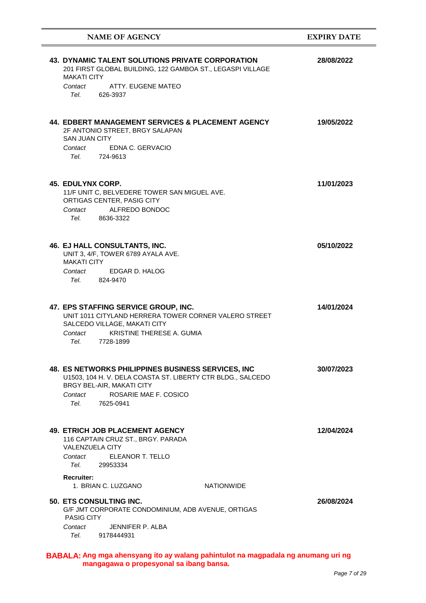| <b>NAME OF AGENCY</b>                                                                                                                                                                                                | <b>EXPIRY DATE</b> |
|----------------------------------------------------------------------------------------------------------------------------------------------------------------------------------------------------------------------|--------------------|
| 43. DYNAMIC TALENT SOLUTIONS PRIVATE CORPORATION<br>201 FIRST GLOBAL BUILDING, 122 GAMBOA ST., LEGASPI VILLAGE<br><b>MAKATI CITY</b><br>ATTY, EUGENE MATEO<br>Contact                                                | 28/08/2022         |
| Tel.<br>626-3937                                                                                                                                                                                                     |                    |
| 44. EDBERT MANAGEMENT SERVICES & PLACEMENT AGENCY<br>2F ANTONIO STREET, BRGY SALAPAN<br><b>SAN JUAN CITY</b><br>Contact EDNA C. GERVACIO                                                                             | 19/05/2022         |
| Tel. 724-9613                                                                                                                                                                                                        |                    |
| <b>45. EDULYNX CORP.</b><br>11/F UNIT C, BELVEDERE TOWER SAN MIGUEL AVE.<br>ORTIGAS CENTER, PASIG CITY<br>Contact ALFREDO BONDOC                                                                                     | 11/01/2023         |
| Tel. 8636-3322                                                                                                                                                                                                       |                    |
| 46. EJ HALL CONSULTANTS, INC.<br>UNIT 3, 4/F, TOWER 6789 AYALA AVE.<br><b>MAKATI CITY</b>                                                                                                                            | 05/10/2022         |
| Contact EDGAR D. HALOG<br>Tel. 824-9470                                                                                                                                                                              |                    |
| 47. EPS STAFFING SERVICE GROUP, INC.<br>UNIT 1011 CITYLAND HERRERA TOWER CORNER VALERO STREET<br>SALCEDO VILLAGE, MAKATI CITY<br>Contact KRISTINE THERESE A. GUMIA<br>Tel. 7728-1899                                 | 14/01/2024         |
| <b>48. ES NETWORKS PHILIPPINES BUSINESS SERVICES, INC</b><br>U1503, 104 H. V. DELA COASTA ST. LIBERTY CTR BLDG., SALCEDO<br>BRGY BEL-AIR, MAKATI CITY<br>ROSARIE MAE F. COSICO<br>Contact<br>Tel. Teles<br>7625-0941 | 30/07/2023         |
| <b>49. ETRICH JOB PLACEMENT AGENCY</b><br>116 CAPTAIN CRUZ ST., BRGY. PARADA<br><b>VALENZUELA CITY</b><br>ELEANOR T. TELLO<br>Contact<br>Tel. Teles<br>29953334                                                      | 12/04/2024         |
| <b>Recruiter:</b><br>1. BRIAN C. LUZGANO<br><b>NATIONWIDE</b>                                                                                                                                                        |                    |
| <b>50. ETS CONSULTING INC.</b><br>G/F JMT CORPORATE CONDOMINIUM, ADB AVENUE, ORTIGAS<br><b>PASIG CITY</b><br>JENNIFER P. ALBA<br>Contact<br>Tel. Teles<br>9178444931                                                 | 26/08/2024         |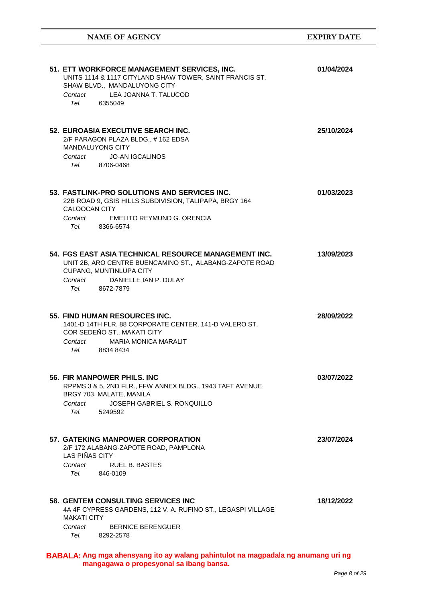| 51. ETT WORKFORCE MANAGEMENT SERVICES, INC.<br>UNITS 1114 & 1117 CITYLAND SHAW TOWER, SAINT FRANCIS ST.<br>SHAW BLVD., MANDALUYONG CITY<br>Contact LEA JOANNA T. TALUCOD<br>Tel. 6355049         | 01/04/2024 |
|--------------------------------------------------------------------------------------------------------------------------------------------------------------------------------------------------|------------|
| 52. EUROASIA EXECUTIVE SEARCH INC.<br>2/F PARAGON PLAZA BLDG., #162 EDSA<br><b>MANDALUYONG CITY</b><br>Contact JO-AN IGCALINOS<br>Tel. 8706-0468                                                 | 25/10/2024 |
| 53. FASTLINK-PRO SOLUTIONS AND SERVICES INC.<br>22B ROAD 9, GSIS HILLS SUBDIVISION, TALIPAPA, BRGY 164<br><b>CALOOCAN CITY</b><br>EMELITO REYMUND G. ORENCIA<br>Contact<br>Tel. 8366-6574        | 01/03/2023 |
| 54. FGS EAST ASIA TECHNICAL RESOURCE MANAGEMENT INC.<br>UNIT 2B, ARO CENTRE BUENCAMINO ST., ALABANG-ZAPOTE ROAD<br>CUPANG, MUNTINLUPA CITY<br>DANIELLE IAN P. DULAY<br>Contact<br>Tel. 8672-7879 | 13/09/2023 |
| 55. FIND HUMAN RESOURCES INC.<br>1401-D 14TH FLR, 88 CORPORATE CENTER, 141-D VALERO ST.<br>COR SEDEÑO ST., MAKATI CITY<br><b>MARIA MONICA MARALIT</b><br>Contact<br>Tel. 8834 8434               | 28/09/2022 |
| 56. FIR MANPOWER PHILS, INC.<br>RPPMS 3 & 5, 2ND FLR., FFW ANNEX BLDG., 1943 TAFT AVENUE<br>BRGY 703, MALATE, MANILA<br>JOSEPH GABRIEL S. RONQUILLO<br>Contact<br>Tel. Teles<br>5249592          | 03/07/2022 |
| 57. GATEKING MANPOWER CORPORATION<br>2/F 172 ALABANG-ZAPOTE ROAD, PAMPLONA<br><b>LAS PIÑAS CITY</b><br><b>RUEL B. BASTES</b><br>Contact<br>Tel. Teles<br>846-0109                                | 23/07/2024 |
| <b>58. GENTEM CONSULTING SERVICES INC</b><br>4A 4F CYPRESS GARDENS, 112 V. A. RUFINO ST., LEGASPI VILLAGE<br><b>MAKATI CITY</b><br>Contact<br><b>BERNICE BERENGUER</b><br>Tel.<br>8292-2578      | 18/12/2022 |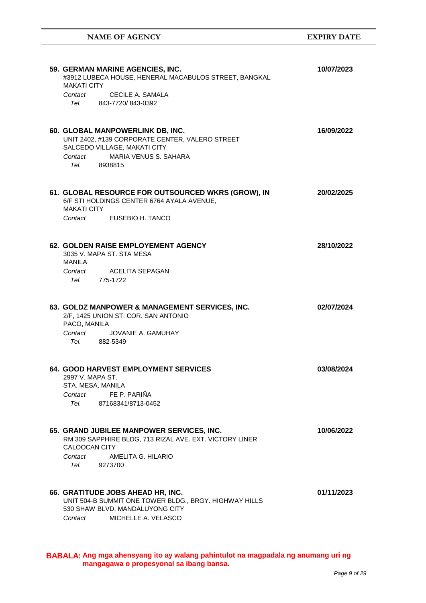**NAME OF AGENCY EXPIRY DATE**

| 59. GERMAN MARINE AGENCIES, INC.<br>#3912 LUBECA HOUSE, HENERAL MACABULOS STREET, BANGKAL<br>MAKATI CITY                                                                         | 10/07/2023 |
|----------------------------------------------------------------------------------------------------------------------------------------------------------------------------------|------------|
| Contact CECILE A. SAMALA<br>Tel. 843-7720/843-0392                                                                                                                               |            |
| 60. GLOBAL MANPOWERLINK DB, INC.<br>UNIT 2402, #139 CORPORATE CENTER, VALERO STREET<br>SALCEDO VILLAGE, MAKATI CITY<br>Contact MARIA VENUS S. SAHARA<br>Tel. 8938815             | 16/09/2022 |
| 61. GLOBAL RESOURCE FOR OUTSOURCED WKRS (GROW), IN<br>6/F STI HOLDINGS CENTER 6764 AYALA AVENUE,<br><b>MAKATI CITY</b><br>Contact EUSEBIO H. TANCO                               | 20/02/2025 |
| 62. GOLDEN RAISE EMPLOYEMENT AGENCY<br>3035 V. MAPA ST. STA MESA<br>MANILA<br>Contact ACELITA SEPAGAN<br>Tel. 775-1722                                                           | 28/10/2022 |
| 63. GOLDZ MANPOWER & MANAGEMENT SERVICES, INC.<br>2/F, 1425 UNION ST. COR. SAN ANTONIO<br>PACO, MANILA<br>Contact<br>JOVANIE A. GAMUHAY<br>Tel. 882-5349                         | 02/07/2024 |
| <b>64. GOOD HARVEST EMPLOYMENT SERVICES</b><br>2997 V. MAPA ST.<br>STA. MESA, MANILA<br>FE P. PARIÑA<br>Contact<br>Tel.<br>87168341/8713-0452                                    | 03/08/2024 |
| 65. GRAND JUBILEE MANPOWER SERVICES, INC.<br>RM 309 SAPPHIRE BLDG, 713 RIZAL AVE. EXT. VICTORY LINER<br><b>CALOOCAN CITY</b><br>AMELITA G. HILARIO<br>Contact<br>Tel.<br>9273700 | 10/06/2022 |
| 66. GRATITUDE JOBS AHEAD HR, INC.<br>UNIT 504-B SUMMIT ONE TOWER BLDG., BRGY. HIGHWAY HILLS<br>530 SHAW BLVD, MANDALUYONG CITY<br>MICHELLE A. VELASCO<br>Contact                 | 01/11/2023 |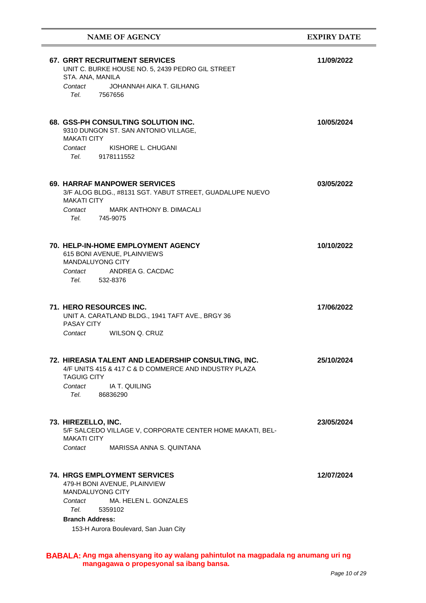| <b>67. GRRT RECRUITMENT SERVICES</b><br>11/09/2022<br>UNIT C. BURKE HOUSE NO. 5, 2439 PEDRO GIL STREET<br>STA. ANA, MANILA<br>JOHANNAH AIKA T. GILHANG<br>Contact<br>Tel. Telection of the Telection of the Telection of the Telection of the Telection of the Telection of the Tel<br>7567656<br>68. GSS-PH CONSULTING SOLUTION INC.<br>10/05/2024<br>9310 DUNGON ST. SAN ANTONIO VILLAGE,<br><b>MAKATI CITY</b><br>KISHORE L. CHUGANI<br>Contact<br>Tel.<br>9178111552<br><b>69. HARRAF MANPOWER SERVICES</b><br>03/05/2022<br>3/F ALOG BLDG., #8131 SGT. YABUT STREET, GUADALUPE NUEVO<br><b>MAKATI CITY</b><br>Contact<br>MARK ANTHONY B. DIMACALI<br>Tel.<br>745-9075<br><b>70. HELP-IN-HOME EMPLOYMENT AGENCY</b><br>10/10/2022<br>615 BONI AVENUE, PLAINVIEWS<br><b>MANDALUYONG CITY</b><br>ANDREA G. CACDAC<br>Contact<br>Tel. 532-8376<br>71. HERO RESOURCES INC.<br>17/06/2022<br>UNIT A. CARATLAND BLDG., 1941 TAFT AVE., BRGY 36<br><b>PASAY CITY</b><br>Contact<br>WILSON Q. CRUZ<br>72. HIREASIA TALENT AND LEADERSHIP CONSULTING, INC.<br>25/10/2024<br>4/F UNITS 415 & 417 C & D COMMERCE AND INDUSTRY PLAZA<br><b>TAGUIG CITY</b><br>Contact<br>IA T. QUILING<br>Tel.<br>86836290<br>73. HIREZELLO, INC.<br>23/05/2024<br>5/F SALCEDO VILLAGE V, CORPORATE CENTER HOME MAKATI, BEL-<br><b>MAKATI CITY</b><br>Contact<br>MARISSA ANNA S. QUINTANA<br><b>74. HRGS EMPLOYMENT SERVICES</b><br>12/07/2024<br>479-H BONI AVENUE, PLAINVIEW<br><b>MANDALUYONG CITY</b><br>MA. HELEN L. GONZALES<br>Contact<br>Tel.<br>5359102<br><b>Branch Address:</b> | <b>NAME OF AGENCY</b>                 | <b>EXPIRY DATE</b> |
|--------------------------------------------------------------------------------------------------------------------------------------------------------------------------------------------------------------------------------------------------------------------------------------------------------------------------------------------------------------------------------------------------------------------------------------------------------------------------------------------------------------------------------------------------------------------------------------------------------------------------------------------------------------------------------------------------------------------------------------------------------------------------------------------------------------------------------------------------------------------------------------------------------------------------------------------------------------------------------------------------------------------------------------------------------------------------------------------------------------------------------------------------------------------------------------------------------------------------------------------------------------------------------------------------------------------------------------------------------------------------------------------------------------------------------------------------------------------------------------------------------------------------------------------------------------------|---------------------------------------|--------------------|
|                                                                                                                                                                                                                                                                                                                                                                                                                                                                                                                                                                                                                                                                                                                                                                                                                                                                                                                                                                                                                                                                                                                                                                                                                                                                                                                                                                                                                                                                                                                                                                    |                                       |                    |
|                                                                                                                                                                                                                                                                                                                                                                                                                                                                                                                                                                                                                                                                                                                                                                                                                                                                                                                                                                                                                                                                                                                                                                                                                                                                                                                                                                                                                                                                                                                                                                    |                                       |                    |
|                                                                                                                                                                                                                                                                                                                                                                                                                                                                                                                                                                                                                                                                                                                                                                                                                                                                                                                                                                                                                                                                                                                                                                                                                                                                                                                                                                                                                                                                                                                                                                    |                                       |                    |
|                                                                                                                                                                                                                                                                                                                                                                                                                                                                                                                                                                                                                                                                                                                                                                                                                                                                                                                                                                                                                                                                                                                                                                                                                                                                                                                                                                                                                                                                                                                                                                    |                                       |                    |
|                                                                                                                                                                                                                                                                                                                                                                                                                                                                                                                                                                                                                                                                                                                                                                                                                                                                                                                                                                                                                                                                                                                                                                                                                                                                                                                                                                                                                                                                                                                                                                    |                                       |                    |
|                                                                                                                                                                                                                                                                                                                                                                                                                                                                                                                                                                                                                                                                                                                                                                                                                                                                                                                                                                                                                                                                                                                                                                                                                                                                                                                                                                                                                                                                                                                                                                    |                                       |                    |
|                                                                                                                                                                                                                                                                                                                                                                                                                                                                                                                                                                                                                                                                                                                                                                                                                                                                                                                                                                                                                                                                                                                                                                                                                                                                                                                                                                                                                                                                                                                                                                    |                                       |                    |
|                                                                                                                                                                                                                                                                                                                                                                                                                                                                                                                                                                                                                                                                                                                                                                                                                                                                                                                                                                                                                                                                                                                                                                                                                                                                                                                                                                                                                                                                                                                                                                    |                                       |                    |
|                                                                                                                                                                                                                                                                                                                                                                                                                                                                                                                                                                                                                                                                                                                                                                                                                                                                                                                                                                                                                                                                                                                                                                                                                                                                                                                                                                                                                                                                                                                                                                    |                                       |                    |
|                                                                                                                                                                                                                                                                                                                                                                                                                                                                                                                                                                                                                                                                                                                                                                                                                                                                                                                                                                                                                                                                                                                                                                                                                                                                                                                                                                                                                                                                                                                                                                    |                                       |                    |
|                                                                                                                                                                                                                                                                                                                                                                                                                                                                                                                                                                                                                                                                                                                                                                                                                                                                                                                                                                                                                                                                                                                                                                                                                                                                                                                                                                                                                                                                                                                                                                    |                                       |                    |
|                                                                                                                                                                                                                                                                                                                                                                                                                                                                                                                                                                                                                                                                                                                                                                                                                                                                                                                                                                                                                                                                                                                                                                                                                                                                                                                                                                                                                                                                                                                                                                    |                                       |                    |
|                                                                                                                                                                                                                                                                                                                                                                                                                                                                                                                                                                                                                                                                                                                                                                                                                                                                                                                                                                                                                                                                                                                                                                                                                                                                                                                                                                                                                                                                                                                                                                    |                                       |                    |
|                                                                                                                                                                                                                                                                                                                                                                                                                                                                                                                                                                                                                                                                                                                                                                                                                                                                                                                                                                                                                                                                                                                                                                                                                                                                                                                                                                                                                                                                                                                                                                    |                                       |                    |
|                                                                                                                                                                                                                                                                                                                                                                                                                                                                                                                                                                                                                                                                                                                                                                                                                                                                                                                                                                                                                                                                                                                                                                                                                                                                                                                                                                                                                                                                                                                                                                    |                                       |                    |
|                                                                                                                                                                                                                                                                                                                                                                                                                                                                                                                                                                                                                                                                                                                                                                                                                                                                                                                                                                                                                                                                                                                                                                                                                                                                                                                                                                                                                                                                                                                                                                    |                                       |                    |
|                                                                                                                                                                                                                                                                                                                                                                                                                                                                                                                                                                                                                                                                                                                                                                                                                                                                                                                                                                                                                                                                                                                                                                                                                                                                                                                                                                                                                                                                                                                                                                    |                                       |                    |
|                                                                                                                                                                                                                                                                                                                                                                                                                                                                                                                                                                                                                                                                                                                                                                                                                                                                                                                                                                                                                                                                                                                                                                                                                                                                                                                                                                                                                                                                                                                                                                    | 153-H Aurora Boulevard, San Juan City |                    |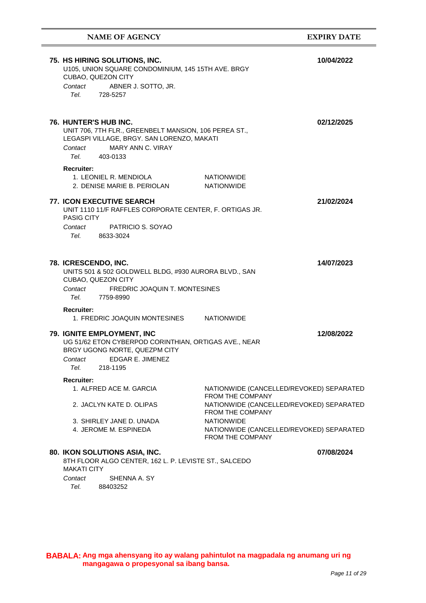| <b>NAME OF AGENCY</b>                                                                                                                                                                                                                                                                  | <b>EXPIRY DATE</b> |
|----------------------------------------------------------------------------------------------------------------------------------------------------------------------------------------------------------------------------------------------------------------------------------------|--------------------|
| 75. HS HIRING SOLUTIONS, INC.<br>U105, UNION SQUARE CONDOMINIUM, 145 15TH AVE. BRGY<br>CUBAO, QUEZON CITY<br>Contact<br>ABNER J. SOTTO, JR.<br>Tel.<br>728-5257                                                                                                                        | 10/04/2022         |
| <b>76. HUNTER'S HUB INC.</b><br>UNIT 706, 7TH FLR., GREENBELT MANSION, 106 PEREA ST.,<br>LEGASPI VILLAGE, BRGY. SAN LORENZO, MAKATI<br><b>MARY ANN C. VIRAY</b><br>Contact<br>Tel. 403-0133                                                                                            | 02/12/2025         |
| <b>Recruiter:</b><br>1. LEONIEL R. MENDIOLA<br><b>NATIONWIDE</b><br>2. DENISE MARIE B. PERIOLAN<br><b>NATIONWIDE</b>                                                                                                                                                                   |                    |
| <b>77. ICON EXECUTIVE SEARCH</b><br>UNIT 1110 11/F RAFFLES CORPORATE CENTER, F. ORTIGAS JR.<br>PASIG CITY<br>PATRICIO S. SOYAO<br>Contact<br>Tel. Teles<br>8633-3024                                                                                                                   | 21/02/2024         |
| 78. ICRESCENDO, INC.<br>UNITS 501 & 502 GOLDWELL BLDG, #930 AURORA BLVD., SAN<br>CUBAO, QUEZON CITY<br><b>FREDRIC JOAQUIN T. MONTESINES</b><br>Contact<br>Tel. Telection of the telection of the telection of the telection of the telection of the telection of the tele<br>7759-8990 | 14/07/2023         |
| <b>Recruiter:</b><br>1. FREDRIC JOAQUIN MONTESINES NATIONWIDE                                                                                                                                                                                                                          |                    |
| 79. IGNITE EMPLOYMENT, INC<br>UG 51/62 ETON CYBERPOD CORINTHIAN, ORTIGAS AVE., NEAR<br>BRGY UGONG NORTE, QUEZPM CITY<br>EDGAR E. JIMENEZ<br>Contact<br>Tel.<br>218-1195                                                                                                                | 12/08/2022         |
| <b>Recruiter:</b><br>1. ALFRED ACE M. GARCIA<br>NATIONWIDE (CANCELLED/REVOKED) SEPARATED<br><b>FROM THE COMPANY</b>                                                                                                                                                                    |                    |
| NATIONWIDE (CANCELLED/REVOKED) SEPARATED<br>2. JACLYN KATE D. OLIPAS<br>FROM THE COMPANY                                                                                                                                                                                               |                    |
| <b>NATIONWIDE</b><br>3. SHIRLEY JANE D. UNADA<br>4. JEROME M. ESPINEDA<br>NATIONWIDE (CANCELLED/REVOKED) SEPARATED<br><b>FROM THE COMPANY</b>                                                                                                                                          |                    |
| 80. IKON SOLUTIONS ASIA, INC.<br>8TH FLOOR ALGO CENTER, 162 L. P. LEVISTE ST., SALCEDO<br><b>MAKATI CITY</b><br>SHENNA A. SY<br>Contact<br>Tel. 88403252                                                                                                                               | 07/08/2024         |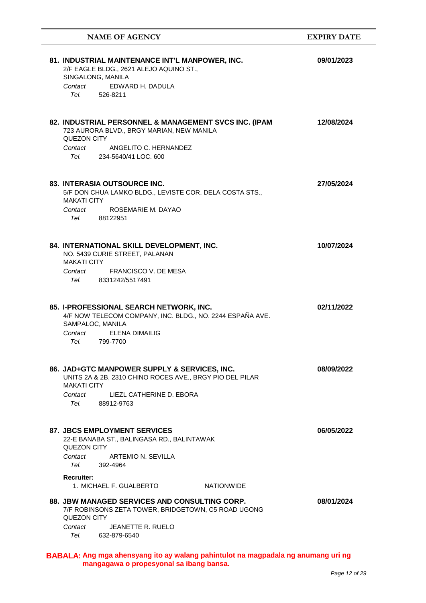| <b>NAME OF AGENCY</b>                                                                                                                          | <b>EXPIRY DATE</b> |
|------------------------------------------------------------------------------------------------------------------------------------------------|--------------------|
| 81. INDUSTRIAL MAINTENANCE INT'L MANPOWER, INC.<br>2/F EAGLE BLDG., 2621 ALEJO AQUINO ST.,<br>SINGALONG, MANILA<br>EDWARD H. DADULA<br>Contact | 09/01/2023         |
| Tel. Telection of the Telection of the Telection of the Telection of the Telection of the Telection of the Tel<br>526-8211                     |                    |
| 82. INDUSTRIAL PERSONNEL & MANAGEMENT SVCS INC. (IPAM<br>723 AURORA BLVD., BRGY MARIAN, NEW MANILA<br>QUEZON CITY                              | 12/08/2024         |
| Contact<br>ANGELITO C. HERNANDEZ<br>Tel. 234-5640/41 LOC, 600                                                                                  |                    |
| 83. INTERASIA OUTSOURCE INC.<br>5/F DON CHUA LAMKO BLDG., LEVISTE COR. DELA COSTA STS.,<br><b>MAKATI CITY</b>                                  | 27/05/2024         |
| ROSEMARIE M. DAYAO<br>Contact<br>Tel. 88122951                                                                                                 |                    |
| 84. INTERNATIONAL SKILL DEVELOPMENT, INC.<br>NO. 5439 CURIE STREET, PALANAN<br><b>MAKATI CITY</b>                                              | 10/07/2024         |
| Contact FRANCISCO V. DE MESA<br>Tel. 8331242/5517491                                                                                           |                    |
| 85. I-PROFESSIONAL SEARCH NETWORK, INC.<br>4/F NOW TELECOM COMPANY, INC. BLDG., NO. 2244 ESPAÑA AVE.<br>SAMPALOC, MANILA                       | 02/11/2022         |
| Contact<br>FLENA DIMAILIG<br>Tel. 799-7700                                                                                                     |                    |
| 86. JAD+GTC MANPOWER SUPPLY & SERVICES, INC.<br>UNITS 2A & 2B, 2310 CHINO ROCES AVE., BRGY PIO DEL PILAR<br><b>MAKATI CITY</b>                 | 08/09/2022         |
| LIEZL CATHERINE D. EBORA<br>Contact<br>Tel. Teles<br>88912-9763                                                                                |                    |
| <b>87. JBCS EMPLOYMENT SERVICES</b><br>22-E BANABA ST., BALINGASA RD., BALINTAWAK<br>QUEZON CITY                                               | 06/05/2022         |
| Contact<br>ARTEMIO N. SEVILLA<br>Tel.<br>392-4964                                                                                              |                    |
| <b>Recruiter:</b><br>1. MICHAEL F. GUALBERTO<br><b>NATIONWIDE</b>                                                                              |                    |
| <b>88. JBW MANAGED SERVICES AND CONSULTING CORP.</b><br>7/F ROBINSONS ZETA TOWER, BRIDGETOWN, C5 ROAD UGONG<br>QUEZON CITY                     | 08/01/2024         |
| JEANETTE R. RUELO<br>Contact<br>Tel. 632-879-6540                                                                                              |                    |

**mangagawa o propesyonal sa ibang bansa.**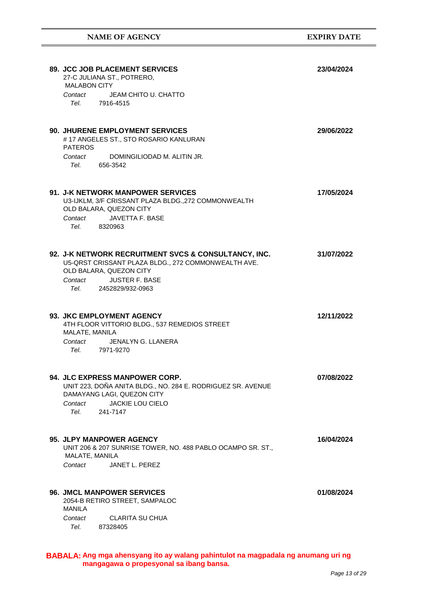| <b>NAME OF AGENCY</b>                                                                                                                                                                                                                                                                                            | <b>EXPIRY DATE</b> |
|------------------------------------------------------------------------------------------------------------------------------------------------------------------------------------------------------------------------------------------------------------------------------------------------------------------|--------------------|
| 89. JCC JOB PLACEMENT SERVICES<br>27-C JULIANA ST., POTRERO,<br><b>MALABON CITY</b>                                                                                                                                                                                                                              | 23/04/2024         |
| JEAM CHITO U. CHATTO<br>Contact<br>Tel. 7916-4515                                                                                                                                                                                                                                                                |                    |
| <b>90. JHURENE EMPLOYMENT SERVICES</b><br>#17 ANGELES ST., STO ROSARIO KANLURAN<br><b>PATEROS</b><br>Contact<br>DOMINGILIODAD M. ALITIN JR.                                                                                                                                                                      | 29/06/2022         |
| Tel.<br>656-3542<br>91. J-K NETWORK MANPOWER SERVICES<br>U3-IJKLM, 3/F CRISSANT PLAZA BLDG., 272 COMMONWEALTH<br>OLD BALARA, QUEZON CITY                                                                                                                                                                         | 17/05/2024         |
| <b>JAVETTA F. BASE</b><br>Contact<br>Tel. 8320963                                                                                                                                                                                                                                                                |                    |
| 92. J-K NETWORK RECRUITMENT SVCS & CONSULTANCY, INC.<br>U5-QRST CRISSANT PLAZA BLDG., 272 COMMONWEALTH AVE.<br>OLD BALARA, QUEZON CITY<br>Contact<br><b>JUSTER F. BASE</b><br>Tel. Telection of the Telection of the Telection of the Telection of the Telection of the Telection of the Tel<br>2452829/932-0963 | 31/07/2022         |
| 93. JKC EMPLOYMENT AGENCY<br>4TH FLOOR VITTORIO BLDG., 537 REMEDIOS STREET<br>MALATE, MANILA<br>Contact<br>JENALYN G. LLANERA<br>Tel.<br>7971-9270                                                                                                                                                               | 12/11/2022         |
| 94. JLC EXPRESS MANPOWER CORP.<br>UNIT 223, DOÑA ANITA BLDG., NO. 284 E. RODRIGUEZ SR. AVENUE<br>DAMAYANG LAGI, QUEZON CITY<br><b>JACKIE LOU CIELO</b><br>Contact<br>Tel.<br>241-7147                                                                                                                            | 07/08/2022         |
| 95. JLPY MANPOWER AGENCY<br>UNIT 206 & 207 SUNRISE TOWER, NO. 488 PABLO OCAMPO SR. ST.,<br>MALATE, MANILA<br>JANET L. PEREZ<br>Contact                                                                                                                                                                           | 16/04/2024         |
| <b>96. JMCL MANPOWER SERVICES</b><br>2054-B RETIRO STREET, SAMPALOC<br>MANILA<br>CLARITA SU CHUA<br>Contact                                                                                                                                                                                                      | 01/08/2024         |
| Tel. Teles<br>87328405                                                                                                                                                                                                                                                                                           |                    |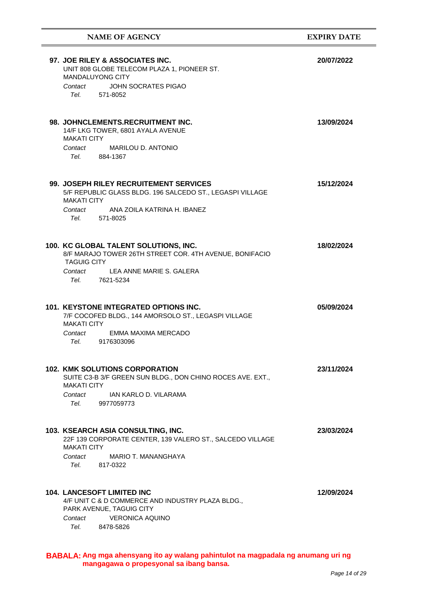| <b>NAME OF AGENCY</b>                                                                                                                                                                 | <b>EXPIRY DATE</b> |
|---------------------------------------------------------------------------------------------------------------------------------------------------------------------------------------|--------------------|
| 97. JOE RILEY & ASSOCIATES INC.<br>UNIT 808 GLOBE TELECOM PLAZA 1, PIONEER ST.<br><b>MANDALUYONG CITY</b><br><b>JOHN SOCRATES PIGAO</b><br>Contact<br>Tel.<br>571-8052                | 20/07/2022         |
| 98. JOHNCLEMENTS.RECRUITMENT INC.<br>14/F LKG TOWER, 6801 AYALA AVENUE<br><b>MAKATI CITY</b><br>Contact<br>MARILOU D. ANTONIO<br>Tel. 884-1367                                        | 13/09/2024         |
| 99. JOSEPH RILEY RECRUITEMENT SERVICES<br>5/F REPUBLIC GLASS BLDG. 196 SALCEDO ST., LEGASPI VILLAGE<br><b>MAKATI CITY</b><br>Contact<br>ANA ZOILA KATRINA H. IBANEZ<br>Tel. 571-8025  | 15/12/2024         |
| 100. KC GLOBAL TALENT SOLUTIONS, INC.<br>8/F MARAJO TOWER 26TH STREET COR. 4TH AVENUE, BONIFACIO<br><b>TAGUIG CITY</b><br>Contact LEA ANNE MARIE S. GALERA<br>Tel. Teles<br>7621-5234 | 18/02/2024         |
| <b>101. KEYSTONE INTEGRATED OPTIONS INC.</b><br>7/F COCOFED BLDG., 144 AMORSOLO ST., LEGASPI VILLAGE<br><b>MAKATI CITY</b><br>EMMA MAXIMA MERCADO<br>Contact<br>Tel. 9176303096       | 05/09/2024         |
| <b>102. KMK SOLUTIONS CORPORATION</b><br>SUITE C3-B 3/F GREEN SUN BLDG., DON CHINO ROCES AVE. EXT.,<br><b>MAKATI CITY</b><br>Contact<br>IAN KARLO D. VILARAMA<br>Tel.<br>9977059773   | 23/11/2024         |
| 103. KSEARCH ASIA CONSULTING, INC.<br>22F 139 CORPORATE CENTER, 139 VALERO ST., SALCEDO VILLAGE<br><b>MAKATI CITY</b><br>Contact<br>MARIO T. MANANGHAYA<br>817-0322<br>Tel.           | 23/03/2024         |
| <b>104. LANCESOFT LIMITED INC</b><br>4/F UNIT C & D COMMERCE AND INDUSTRY PLAZA BLDG.,<br>PARK AVENUE, TAGUIG CITY<br><b>VERONICA AQUINO</b><br>Contact<br>Tel.<br>8478-5826          | 12/09/2024         |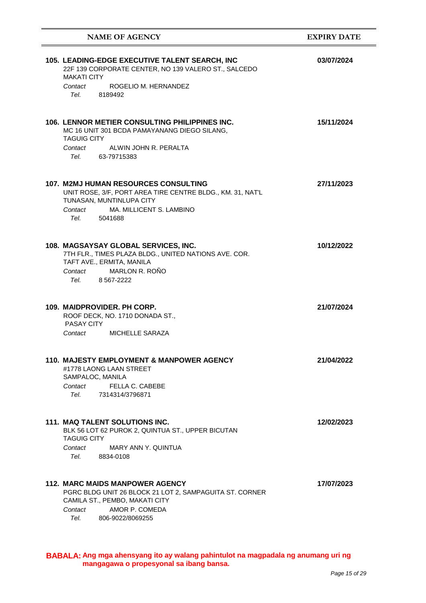| <b>NAME OF AGENCY</b>                                                                                                                                                                           | <b>EXPIRY DATE</b> |
|-------------------------------------------------------------------------------------------------------------------------------------------------------------------------------------------------|--------------------|
| 105. LEADING-EDGE EXECUTIVE TALENT SEARCH, INC<br>22F 139 CORPORATE CENTER, NO 139 VALERO ST., SALCEDO<br><b>MAKATI CITY</b><br>ROGELIO M. HERNANDEZ<br>Contact<br>Tel. Teles<br>8189492        | 03/07/2024         |
| 106. LENNOR METIER CONSULTING PHILIPPINES INC.<br>MC 16 UNIT 301 BCDA PAMAYANANG DIEGO SILANG,<br><b>TAGUIG CITY</b><br>Contact<br>ALWIN JOHN R. PERALTA<br>Tel.<br>63-79715383                 | 15/11/2024         |
| <b>107. M2MJ HUMAN RESOURCES CONSULTING</b><br>UNIT ROSE, 3/F, PORT AREA TIRE CENTRE BLDG., KM. 31, NAT'L<br>TUNASAN, MUNTINLUPA CITY<br>MA, MILLICENT S. LAMBINO<br>Contact<br>Tel.<br>5041688 | 27/11/2023         |
| 108. MAGSAYSAY GLOBAL SERVICES, INC.<br>7TH FLR., TIMES PLAZA BLDG., UNITED NATIONS AVE. COR.<br>TAFT AVE., ERMITA, MANILA<br>MARLON R. ROÑO<br>Contact<br>Tel. Teles<br>8 5 6 7 - 2 2 2 2      | 10/12/2022         |
| 109. MAIDPROVIDER. PH CORP.<br>ROOF DECK, NO. 1710 DONADA ST.,<br>PASAY CITY<br>MICHELLE SARAZA<br>Contact                                                                                      | 21/07/2024         |
| <b>110. MAJESTY EMPLOYMENT &amp; MANPOWER AGENCY</b><br>#1778 LAONG LAAN STREET<br>SAMPALOC, MANILA<br>FELLA C. CABEBE<br>Contact<br>Tel.<br>7314314/3796871                                    | 21/04/2022         |
| 111. MAQ TALENT SOLUTIONS INC.<br>BLK 56 LOT 62 PUROK 2, QUINTUA ST., UPPER BICUTAN<br><b>TAGUIG CITY</b><br><b>MARY ANN Y. QUINTUA</b><br>Contact<br>Tel.<br>8834-0108                         | 12/02/2023         |
| 112. MARC MAIDS MANPOWER AGENCY<br>PGRC BLDG UNIT 26 BLOCK 21 LOT 2, SAMPAGUITA ST. CORNER<br>CAMILA ST., PEMBO, MAKATI CITY<br>AMOR P. COMEDA<br>Contact<br>806-9022/8069255<br>Tel.           | 17/07/2023         |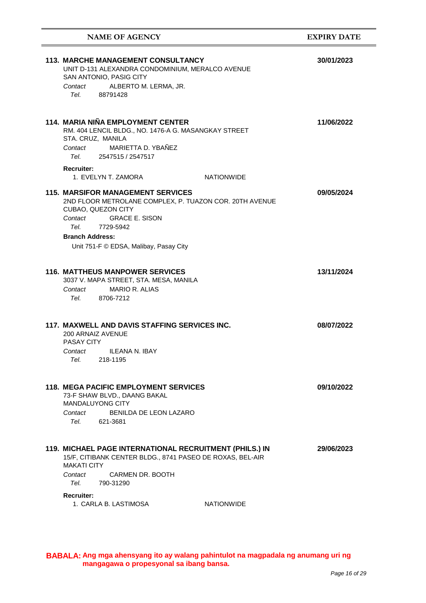| <b>NAME OF AGENCY</b>                                                                                                                                                                                                                                                                                                                                                                              | <b>EXPIRY DATE</b> |
|----------------------------------------------------------------------------------------------------------------------------------------------------------------------------------------------------------------------------------------------------------------------------------------------------------------------------------------------------------------------------------------------------|--------------------|
| <b>113. MARCHE MANAGEMENT CONSULTANCY</b><br>UNIT D-131 ALEXANDRA CONDOMINIUM, MERALCO AVENUE<br>SAN ANTONIO, PASIG CITY<br>ALBERTO M. LERMA, JR.<br>Contact<br>Tel. 88791428                                                                                                                                                                                                                      | 30/01/2023         |
| 114. MARIA NIÑA EMPLOYMENT CENTER<br>RM. 404 LENCIL BLDG., NO. 1476-A G. MASANGKAY STREET<br>STA. CRUZ, MANILA<br>MARIETTA D. YBAÑEZ<br>Contact<br>Tel. 2547515 / 2547517<br><b>Recruiter:</b>                                                                                                                                                                                                     | 11/06/2022         |
| 1. EVELYN T. ZAMORA<br><b>NATIONWIDE</b><br><b>115. MARSIFOR MANAGEMENT SERVICES</b><br>2ND FLOOR METROLANE COMPLEX, P. TUAZON COR. 20TH AVENUE<br>CUBAO, QUEZON CITY<br>Contact GRACE E. SISON<br>Tel. Telection of the Telection of the Telection of the Telection of the Telection of the Telection of the Tel<br>7729-5942<br><b>Branch Address:</b><br>Unit 751-F © EDSA, Malibay, Pasay City | 09/05/2024         |
| <b>116. MATTHEUS MANPOWER SERVICES</b><br>3037 V. MAPA STREET, STA. MESA, MANILA<br><b>MARIO R. ALIAS</b><br>Contact<br>Tel. 8706-7212                                                                                                                                                                                                                                                             | 13/11/2024         |
| 117. MAXWELL AND DAVIS STAFFING SERVICES INC.<br>200 ARNAIZ AVENUE<br><b>PASAY CITY</b><br>Contact ILEANA N. IBAY<br>Tel.<br>218-1195                                                                                                                                                                                                                                                              | 08/07/2022         |
| <b>118. MEGA PACIFIC EMPLOYMENT SERVICES</b><br>73-F SHAW BLVD., DAANG BAKAL<br><b>MANDALUYONG CITY</b><br>BENILDA DE LEON LAZARO<br>Contact<br>Tel.<br>621-3681                                                                                                                                                                                                                                   | 09/10/2022         |
| 119. MICHAEL PAGE INTERNATIONAL RECRUITMENT (PHILS.) IN<br>15/F, CITIBANK CENTER BLDG., 8741 PASEO DE ROXAS, BEL-AIR<br><b>MAKATI CITY</b><br>CARMEN DR. BOOTH<br>Contact<br>Tel.<br>790-31290<br><b>Recruiter:</b><br>1. CARLA B. LASTIMOSA<br><b>NATIONWIDE</b>                                                                                                                                  | 29/06/2023         |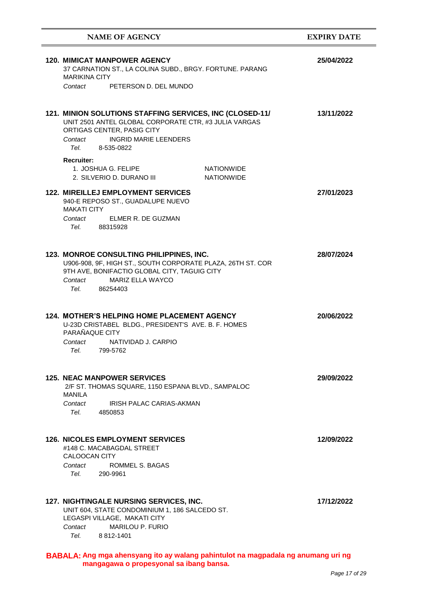| <b>NAME OF AGENCY</b>                                                                                                                                                                                                   | <b>EXPIRY DATE</b> |
|-------------------------------------------------------------------------------------------------------------------------------------------------------------------------------------------------------------------------|--------------------|
| <b>120. MIMICAT MANPOWER AGENCY</b><br>37 CARNATION ST., LA COLINA SUBD., BRGY. FORTUNE. PARANG<br><b>MARIKINA CITY</b>                                                                                                 | 25/04/2022         |
| PETERSON D. DEL MUNDO<br>Contact                                                                                                                                                                                        |                    |
| 121. MINION SOLUTIONS STAFFING SERVICES, INC (CLOSED-11/<br>UNIT 2501 ANTEL GLOBAL CORPORATE CTR, #3 JULIA VARGAS<br>ORTIGAS CENTER, PASIG CITY<br><b>INGRID MARIE LEENDERS</b><br>Contact<br>Tel. 8-535-0822           | 13/11/2022         |
| <b>Recruiter:</b><br>1. JOSHUA G. FELIPE<br><b>NATIONWIDE</b><br>2. SILVERIO D. DURANO III<br><b>NATIONWIDE</b>                                                                                                         |                    |
| <b>122. MIREILLEJ EMPLOYMENT SERVICES</b><br>940-E REPOSO ST., GUADALUPE NUEVO<br><b>MAKATI CITY</b>                                                                                                                    | 27/01/2023         |
| ELMER R. DE GUZMAN<br>Contact<br>Tel.<br>88315928                                                                                                                                                                       |                    |
| 123. MONROE CONSULTING PHILIPPINES, INC.<br>U906-908, 9F, HIGH ST., SOUTH CORPORATE PLAZA, 26TH ST. COR<br>9TH AVE, BONIFACTIO GLOBAL CITY, TAGUIG CITY<br><b>MARIZ ELLA WAYCO</b><br>Contact<br>Tel. Teles<br>86254403 | 28/07/2024         |
| 124. MOTHER'S HELPING HOME PLACEMENT AGENCY<br>U-23D CRISTABEL BLDG., PRESIDENT'S AVE. B. F. HOMES<br>PARAÑAQUE CITY<br>NATIVIDAD J. CARPIO<br>Contact<br>Tel.<br>799-5762                                              | 20/06/2022         |
| <b>125. NEAC MANPOWER SERVICES</b><br>2/F ST. THOMAS SQUARE, 1150 ESPANA BLVD., SAMPALOC<br>MANILA<br>IRISH PALAC CARIAS-AKMAN<br>Contact<br>Tel.<br>4850853                                                            | 29/09/2022         |
| <b>126. NICOLES EMPLOYMENT SERVICES</b><br>#148 C. MACABAGDAL STREET<br><b>CALOOCAN CITY</b><br>Contact<br>ROMMEL S. BAGAS<br>Tel.<br>290-9961                                                                          | 12/09/2022         |
| <b>127. NIGHTINGALE NURSING SERVICES, INC.</b><br>UNIT 604, STATE CONDOMINIUM 1, 186 SALCEDO ST.<br>LEGASPI VILLAGE, MAKATI CITY<br><b>MARILOU P. FURIO</b><br>Contact<br>Tel.<br>8 812-1401                            | 17/12/2022         |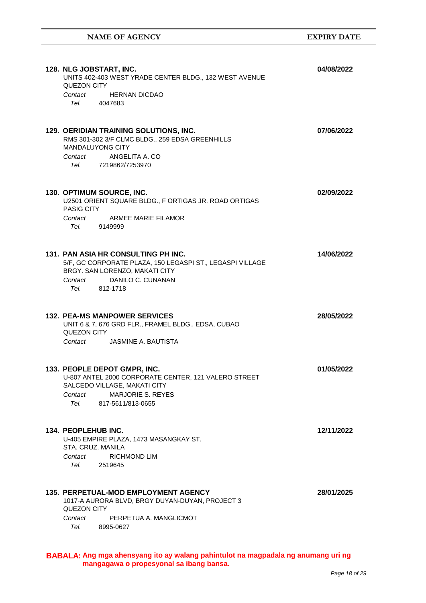| 128. NLG JOBSTART, INC.<br>UNITS 402-403 WEST YRADE CENTER BLDG., 132 WEST AVENUE<br>QUEZON CITY<br>Contact<br><b>HERNAN DICDAO</b><br>Tel. 4047683                                            | 04/08/2022 |
|------------------------------------------------------------------------------------------------------------------------------------------------------------------------------------------------|------------|
| 129. OERIDIAN TRAINING SOLUTIONS, INC.<br>RMS 301-302 3/F CLMC BLDG., 259 EDSA GREENHILLS<br><b>MANDALUYONG CITY</b><br>ANGELITA A. CO<br>Contact<br>Tel. 7219862/7253970                      | 07/06/2022 |
| 130. OPTIMUM SOURCE, INC.<br>U2501 ORIENT SQUARE BLDG., F ORTIGAS JR. ROAD ORTIGAS<br><b>PASIG CITY</b><br><b>ARMEE MARIE FILAMOR</b><br>Contact<br>Tel. 9149999                               | 02/09/2022 |
| 131. PAN ASIA HR CONSULTING PH INC.<br>5/F, GC CORPORATE PLAZA, 150 LEGASPI ST., LEGASPI VILLAGE<br>BRGY. SAN LORENZO, MAKATI CITY<br>DANILO C. CUNANAN<br>Contact<br>Tel. 812-1718            | 14/06/2022 |
| <b>132. PEA-MS MANPOWER SERVICES</b><br>UNIT 6 & 7, 676 GRD FLR., FRAMEL BLDG., EDSA, CUBAO<br>QUEZON CITY<br>Contact JASMINE A. BAUTISTA                                                      | 28/05/2022 |
| 133. PEOPLE DEPOT GMPR, INC.<br>U-807 ANTEL 2000 CORPORATE CENTER, 121 VALERO STREET<br>SALCEDO VILLAGE, MAKATI CITY<br><b>MARJORIE S. REYES</b><br>Contact<br>Tel. Teles<br>817-5611/813-0655 | 01/05/2022 |
| 134. PEOPLEHUB INC.<br>U-405 EMPIRE PLAZA, 1473 MASANGKAY ST.<br>STA. CRUZ, MANILA<br>Contact<br><b>RICHMOND LIM</b><br>Tel.<br>2519645                                                        | 12/11/2022 |
| <b>135. PERPETUAL-MOD EMPLOYMENT AGENCY</b><br>1017-A AURORA BLVD, BRGY DUYAN-DUYAN, PROJECT 3<br>QUEZON CITY<br>Contact<br>PERPETUA A. MANGLICMOT<br>Tel.<br>8995-0627                        | 28/01/2025 |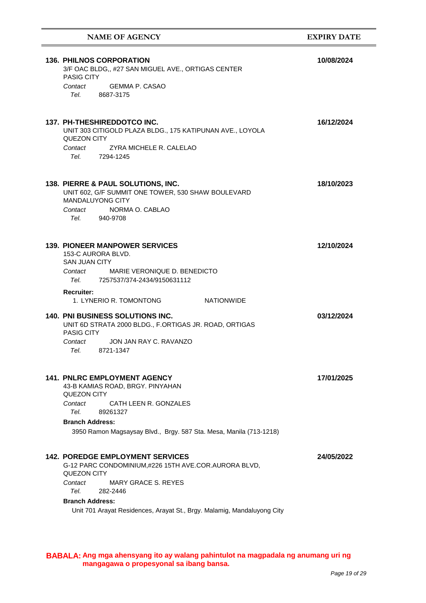### **NAME OF AGENCY EXPIRY DATE**

| <b>136. PHILNOS CORPORATION</b><br>3/F OAC BLDG,, #27 SAN MIGUEL AVE., ORTIGAS CENTER<br><b>PASIG CITY</b>                                                                                                                                            | 10/08/2024 |
|-------------------------------------------------------------------------------------------------------------------------------------------------------------------------------------------------------------------------------------------------------|------------|
| GEMMA P. CASAO<br>Contact<br>Tel. Teles<br>8687-3175                                                                                                                                                                                                  |            |
| 137. PH-THESHIREDDOTCO INC.<br>UNIT 303 CITIGOLD PLAZA BLDG., 175 KATIPUNAN AVE., LOYOLA<br>QUEZON CITY<br>Contact<br>ZYRA MICHELE R. CALELAO<br>Tel. 7294-1245                                                                                       | 16/12/2024 |
| 138. PIERRE & PAUL SOLUTIONS, INC.<br>UNIT 602, G/F SUMMIT ONE TOWER, 530 SHAW BOULEVARD<br><b>MANDALUYONG CITY</b><br>NORMA O. CABLAO<br>Contact<br>Tel. 940-9708                                                                                    | 18/10/2023 |
| <b>139. PIONEER MANPOWER SERVICES</b><br>153-C AURORA BLVD.<br><b>SAN JUAN CITY</b><br>MARIE VERONIQUE D. BENEDICTO<br>Contact<br><i>Tel.</i> 7257537/374-2434/9150631112                                                                             | 12/10/2024 |
| <b>Recruiter:</b><br>1. LYNERIO R. TOMONTONG<br>NATIONWIDE                                                                                                                                                                                            |            |
| <b>140. PNI BUSINESS SOLUTIONS INC.</b><br>UNIT 6D STRATA 2000 BLDG., F.ORTIGAS JR. ROAD, ORTIGAS<br><b>PASIG CITY</b><br>JON JAN RAY C. RAVANZO<br>Contact<br>Tel. 8721-1347                                                                         | 03/12/2024 |
| <b>141. PNLRC EMPLOYMENT AGENCY</b><br>43-B KAMIAS ROAD, BRGY. PINYAHAN<br><b>QUEZON CITY</b><br>CATH LEEN R. GONZALES<br>Contact<br>Tel.<br>89261327<br><b>Branch Address:</b><br>3950 Ramon Magsaysay Blvd., Brgy. 587 Sta. Mesa, Manila (713-1218) | 17/01/2025 |
| <b>142. POREDGE EMPLOYMENT SERVICES</b><br>G-12 PARC CONDOMINIUM,#226 15TH AVE.COR.AURORA BLVD,<br>QUEZON CITY<br><b>MARY GRACE S. REYES</b><br>Contact                                                                                               | 24/05/2022 |
| Tel.<br>282-2446                                                                                                                                                                                                                                      |            |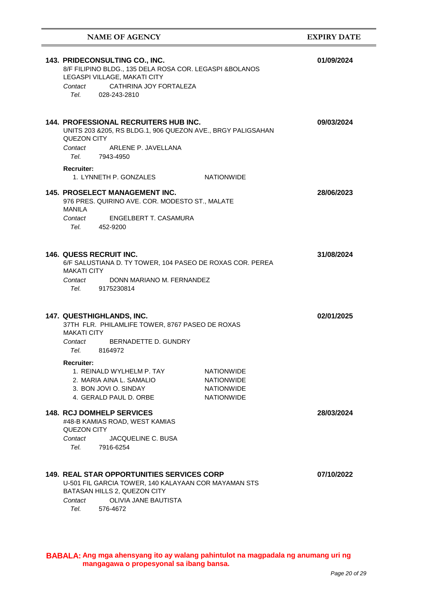| <b>NAME OF AGENCY</b>                                                                                                                                                                                                                                                                                                       | <b>EXPIRY DATE</b> |
|-----------------------------------------------------------------------------------------------------------------------------------------------------------------------------------------------------------------------------------------------------------------------------------------------------------------------------|--------------------|
| 143. PRIDECONSULTING CO., INC.<br>8/F FILIPINO BLDG., 135 DELA ROSA COR. LEGASPI & BOLANOS<br>LEGASPI VILLAGE, MAKATI CITY<br>CATHRINA JOY FORTALEZA<br>Contact<br>Tel. Teles<br>028-243-2810                                                                                                                               | 01/09/2024         |
| <b>144. PROFESSIONAL RECRUITERS HUB INC.</b><br>UNITS 203 & 205, RS BLDG.1, 906 QUEZON AVE., BRGY PALIGSAHAN<br>QUEZON CITY<br>Contact<br>ARLENE P. JAVELLANA<br>Tel. 7943-4950<br><b>Recruiter:</b><br>1. LYNNETH P. GONZALES<br><b>NATIONWIDE</b>                                                                         | 09/03/2024         |
| <b>145. PROSELECT MANAGEMENT INC.</b><br>976 PRES. QUIRINO AVE. COR. MODESTO ST., MALATE<br>MANILA<br>ENGELBERT T. CASAMURA<br>Contact<br>Tel. 452-9200                                                                                                                                                                     | 28/06/2023         |
| <b>146. QUESS RECRUIT INC.</b><br>6/F SALUSTIANA D. TY TOWER, 104 PASEO DE ROXAS COR. PEREA<br><b>MAKATI CITY</b><br>DONN MARIANO M. FERNANDEZ<br>Contact<br>Tel. Teles<br>9175230814                                                                                                                                       | 31/08/2024         |
| 147. QUESTHIGHLANDS, INC.<br>37TH FLR. PHILAMLIFE TOWER, 8767 PASEO DE ROXAS<br><b>MAKATI CITY</b><br>Contact<br>BERNADETTE D. GUNDRY<br>Tel. 8164972<br><b>Recruiter:</b><br>1. REINALD WYLHELM P. TAY<br><b>NATIONWIDE</b><br>2. MARIA AINA L. SAMALIO<br><b>NATIONWIDE</b><br>3. BON JOVI O. SINDAY<br><b>NATIONWIDE</b> | 02/01/2025         |
| 4. GERALD PAUL D. ORBE<br><b>NATIONWIDE</b><br><b>148. RCJ DOMHELP SERVICES</b><br>#48-B KAMIAS ROAD, WEST KAMIAS<br>QUEZON CITY<br>Contact<br>JACQUELINE C. BUSA<br>Tel.<br>7916-6254                                                                                                                                      | 28/03/2024         |
| <b>149. REAL STAR OPPORTUNITIES SERVICES CORP</b><br>U-501 FIL GARCIA TOWER, 140 KALAYAAN COR MAYAMAN STS<br>BATASAN HILLS 2, QUEZON CITY<br><b>OLIVIA JANE BAUTISTA</b><br>Contact<br>Tel.<br>576-4672                                                                                                                     | 07/10/2022         |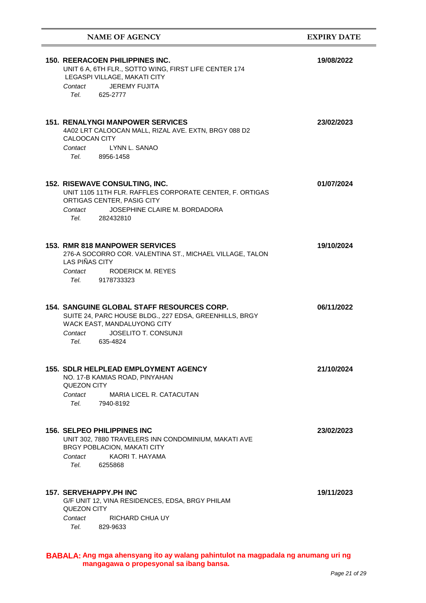| <b>NAME OF AGENCY</b>                                                                                                                                                                                                                                                                     | <b>EXPIRY DATE</b> |
|-------------------------------------------------------------------------------------------------------------------------------------------------------------------------------------------------------------------------------------------------------------------------------------------|--------------------|
| <b>150. REERACOEN PHILIPPINES INC.</b><br>UNIT 6 A, 6TH FLR., SOTTO WING, FIRST LIFE CENTER 174<br>LEGASPI VILLAGE, MAKATI CITY<br>JEREMY FUJITA<br>Contact<br>Tel. Telection of the Telection of the Telection of the Telection of the Telection of the Telection of the Tel<br>625-2777 | 19/08/2022         |
| <b>151. RENALYNGI MANPOWER SERVICES</b><br>4A02 LRT CALOOCAN MALL, RIZAL AVE. EXTN, BRGY 088 D2<br>CALOOCAN CITY<br>LYNN L. SANAO<br>Contact<br>Tel. 8956-1458                                                                                                                            | 23/02/2023         |
| 152. RISEWAVE CONSULTING, INC.<br>UNIT 1105 11TH FLR. RAFFLES CORPORATE CENTER, F. ORTIGAS<br>ORTIGAS CENTER, PASIG CITY<br>Contact<br>JOSEPHINE CLAIRE M. BORDADORA<br>Tel.<br>282432810                                                                                                 | 01/07/2024         |
| <b>153. RMR 818 MANPOWER SERVICES</b><br>276-A SOCORRO COR. VALENTINA ST., MICHAEL VILLAGE, TALON<br>LAS PIÑAS CITY<br>Contact<br><b>RODERICK M. REYES</b><br>Tel. 9178733323                                                                                                             | 19/10/2024         |
| <b>154. SANGUINE GLOBAL STAFF RESOURCES CORP.</b><br>SUITE 24, PARC HOUSE BLDG., 227 EDSA, GREENHILLS, BRGY<br>WACK EAST, MANDALUYONG CITY<br><b>JOSELITO T. CONSUNJI</b><br>Contact<br>Tel. 635-4824                                                                                     | 06/11/2022         |
| <b>155. SDLR HELPLEAD EMPLOYMENT AGENCY</b><br>NO. 17-B KAMIAS ROAD, PINYAHAN<br><b>QUEZON CITY</b><br>Contact<br>MARIA LICEL R. CATACUTAN<br>Tel.<br>7940-8192                                                                                                                           | 21/10/2024         |
| <b>156. SELPEO PHILIPPINES INC</b><br>UNIT 302, 7880 TRAVELERS INN CONDOMINIUM, MAKATI AVE<br>BRGY POBLACION, MAKATI CITY<br>KAORI T. HAYAMA<br>Contact<br>Tel.<br>6255868                                                                                                                | 23/02/2023         |
| <b>157. SERVEHAPPY.PH INC</b><br>G/F UNIT 12, VINA RESIDENCES, EDSA, BRGY PHILAM<br>QUEZON CITY<br>RICHARD CHUA UY<br>Contact<br>829-9633<br>Tel. Telection of the Telection of the Telection of the Telection of the Telection of the Telection of the Tel                               | 19/11/2023         |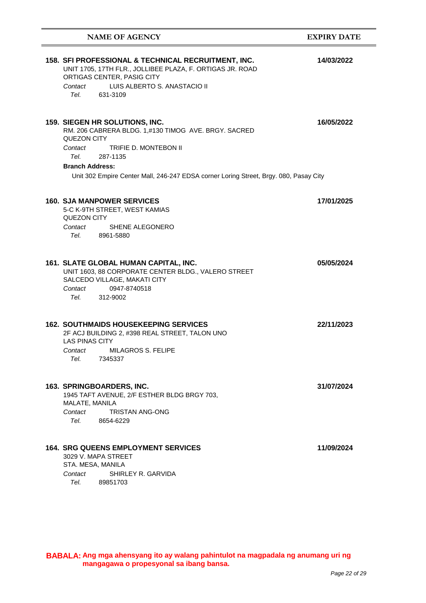| <b>NAME OF AGENCY</b>                                                                                                                                                                                                                                                            | <b>EXPIRY DATE</b> |
|----------------------------------------------------------------------------------------------------------------------------------------------------------------------------------------------------------------------------------------------------------------------------------|--------------------|
| 158. SFI PROFESSIONAL & TECHNICAL RECRUITMENT, INC.<br>UNIT 1705, 17TH FLR., JOLLIBEE PLAZA, F. ORTIGAS JR. ROAD<br>ORTIGAS CENTER, PASIG CITY<br>LUIS ALBERTO S. ANASTACIO II<br>Contact<br>Tel.<br>631-3109                                                                    | 14/03/2022         |
| 159. SIEGEN HR SOLUTIONS, INC.<br>RM. 206 CABRERA BLDG. 1,#130 TIMOG AVE. BRGY. SACRED<br>QUEZON CITY<br>TRIFIE D. MONTEBON II<br>Contact<br>Tel.<br>287-1135<br><b>Branch Address:</b><br>Unit 302 Empire Center Mall, 246-247 EDSA corner Loring Street, Brgy. 080, Pasay City | 16/05/2022         |
| <b>160. SJA MANPOWER SERVICES</b><br>5-C K-9TH STREET, WEST KAMIAS<br>QUEZON CITY<br>Contact<br>SHENE ALEGONERO<br>Tel.<br>8961-5880                                                                                                                                             | 17/01/2025         |
| 161. SLATE GLOBAL HUMAN CAPITAL, INC.<br>UNIT 1603, 88 CORPORATE CENTER BLDG., VALERO STREET<br>SALCEDO VILLAGE, MAKATI CITY<br>Contact<br>0947-8740518<br>Tel.<br>312-9002                                                                                                      | 05/05/2024         |
| <b>162. SOUTHMAIDS HOUSEKEEPING SERVICES</b><br>2F ACJ BUILDING 2, #398 REAL STREET, TALON UNO<br><b>LAS PINAS CITY</b><br><b>MILAGROS S. FELIPE</b><br>Contact<br>Tel.<br>7345337                                                                                               | 22/11/2023         |
| 163. SPRINGBOARDERS, INC.<br>1945 TAFT AVENUE, 2/F ESTHER BLDG BRGY 703,<br>MALATE, MANILA<br>Contact<br><b>TRISTAN ANG-ONG</b><br>Tel.<br>8654-6229                                                                                                                             | 31/07/2024         |
| <b>164. SRG QUEENS EMPLOYMENT SERVICES</b><br>3029 V. MAPA STREET<br>STA. MESA, MANILA<br>SHIRLEY R. GARVIDA<br>Contact<br>Tel.<br>89851703                                                                                                                                      | 11/09/2024         |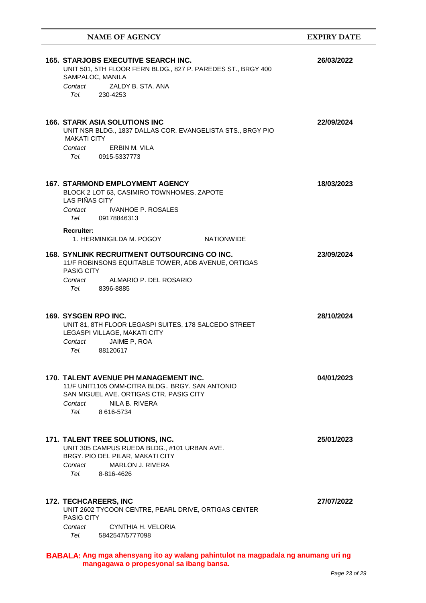| <b>NAME OF AGENCY</b>                                                                                                                                                                          | <b>EXPIRY DATE</b> |
|------------------------------------------------------------------------------------------------------------------------------------------------------------------------------------------------|--------------------|
| <b>165. STARJOBS EXECUTIVE SEARCH INC.</b><br>UNIT 501, 5TH FLOOR FERN BLDG., 827 P. PAREDES ST., BRGY 400<br>SAMPALOC, MANILA                                                                 | 26/03/2022         |
| ZALDY B. STA. ANA<br>Contact<br>Tel. 230-4253                                                                                                                                                  |                    |
| <b>166. STARK ASIA SOLUTIONS INC</b><br>UNIT NSR BLDG., 1837 DALLAS COR. EVANGELISTA STS., BRGY PIO<br><b>MAKATI CITY</b><br>ERBIN M. VILA<br>Contact                                          | 22/09/2024         |
| Tel.<br>0915-5337773                                                                                                                                                                           |                    |
| <b>167. STARMOND EMPLOYMENT AGENCY</b><br>BLOCK 2 LOT 63, CASIMIRO TOWNHOMES, ZAPOTE<br><b>LAS PIÑAS CITY</b><br><b>IVANHOE P. ROSALES</b><br>Contact<br>Tel.<br>09178846313                   | 18/03/2023         |
| <b>Recruiter:</b><br>1. HERMINIGILDA M. POGOY<br><b>NATIONWIDE</b>                                                                                                                             |                    |
| <b>168. SYNLINK RECRUITMENT OUTSOURCING CO INC.</b><br>11/F ROBINSONS EQUITABLE TOWER, ADB AVENUE, ORTIGAS<br><b>PASIG CITY</b><br>Contact<br>ALMARIO P. DEL ROSARIO                           | 23/09/2024         |
| Tel. Teles<br>8396-8885                                                                                                                                                                        |                    |
| 169. SYSGEN RPO INC.<br>UNIT 81, 8TH FLOOR LEGASPI SUITES, 178 SALCEDO STREET<br>LEGASPI VILLAGE, MAKATI CITY<br>JAIME P, ROA<br>Contact<br>Tel.<br>88120617                                   | 28/10/2024         |
| <b>170. TALENT AVENUE PH MANAGEMENT INC.</b><br>11/F UNIT1105 OMM-CITRA BLDG., BRGY. SAN ANTONIO<br>SAN MIGUEL AVE. ORTIGAS CTR, PASIG CITY<br>NILA B. RIVERA<br>Contact<br>Tel.<br>8 616-5734 | 04/01/2023         |
| 171. TALENT TREE SOLUTIONS, INC.<br>UNIT 305 CAMPUS RUEDA BLDG., #101 URBAN AVE.<br>BRGY. PIO DEL PILAR, MAKATI CITY<br><b>MARLON J. RIVERA</b><br>Contact<br>Tel. Teles<br>8-816-4626         | 25/01/2023         |
| <b>172. TECHCAREERS, INC</b><br>UNIT 2602 TYCOON CENTRE, PEARL DRIVE, ORTIGAS CENTER<br><b>PASIG CITY</b><br>CYNTHIA H. VELORIA<br>Contact<br>Tel.<br>5842547/5777098                          | 27/07/2022         |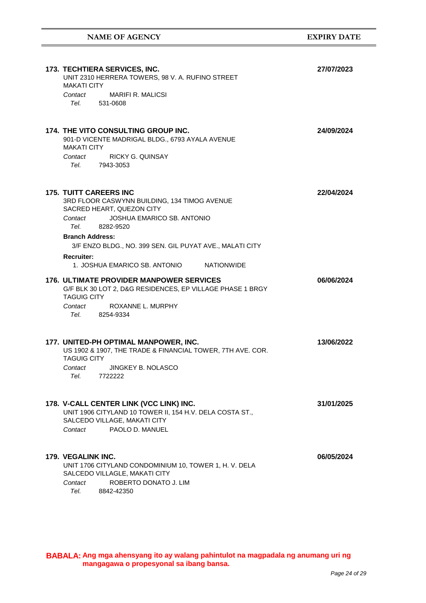| 173. TECHTIERA SERVICES, INC.<br>UNIT 2310 HERRERA TOWERS, 98 V. A. RUFINO STREET<br><b>MAKATI CITY</b><br>Contact<br>MARIFI R. MALICSI<br>Tel. 531-0608                                                                                                                                                                                        | 27/07/2023 |
|-------------------------------------------------------------------------------------------------------------------------------------------------------------------------------------------------------------------------------------------------------------------------------------------------------------------------------------------------|------------|
| 174. THE VITO CONSULTING GROUP INC.<br>901-D VICENTE MADRIGAL BLDG., 6793 AYALA AVENUE<br><b>MAKATI CITY</b><br><b>RICKY G. QUINSAY</b><br>Contact<br>Tel. 7943-3053                                                                                                                                                                            | 24/09/2024 |
| <b>175. TUITT CAREERS INC</b><br>3RD FLOOR CASWYNN BUILDING, 134 TIMOG AVENUE<br>SACRED HEART, QUEZON CITY<br>JOSHUA EMARICO SB. ANTONIO<br>Contact<br>Tel. Teles<br>8282-9520<br><b>Branch Address:</b><br>3/F ENZO BLDG., NO. 399 SEN. GIL PUYAT AVE., MALATI CITY<br><b>Recruiter:</b><br>1. JOSHUA EMARICO SB. ANTONIO<br><b>NATIONWIDE</b> | 22/04/2024 |
| 176. ULTIMATE PROVIDER MANPOWER SERVICES<br>G/F BLK 30 LOT 2, D&G RESIDENCES, EP VILLAGE PHASE 1 BRGY<br><b>TAGUIG CITY</b><br>Contact<br>ROXANNE L. MURPHY<br>Tel. 8254-9334                                                                                                                                                                   | 06/06/2024 |
| 177. UNITED-PH OPTIMAL MANPOWER, INC.<br>US 1902 & 1907, THE TRADE & FINANCIAL TOWER, 7TH AVE. COR.<br><b>TAGUIG CITY</b><br>Contact<br>JINGKEY B. NOLASCO<br>7722222<br>Tel.                                                                                                                                                                   | 13/06/2022 |
| 178. V-CALL CENTER LINK (VCC LINK) INC.<br>UNIT 1906 CITYLAND 10 TOWER II, 154 H.V. DELA COSTA ST.,<br>SALCEDO VILLAGE, MAKATI CITY<br>PAOLO D. MANUEL<br>Contact                                                                                                                                                                               | 31/01/2025 |
| 179. VEGALINK INC.<br>UNIT 1706 CITYLAND CONDOMINIUM 10, TOWER 1, H. V. DELA<br>SALCEDO VILLAGLE, MAKATI CITY<br>ROBERTO DONATO J. LIM<br>Contact<br>Tel.<br>8842-42350                                                                                                                                                                         | 06/05/2024 |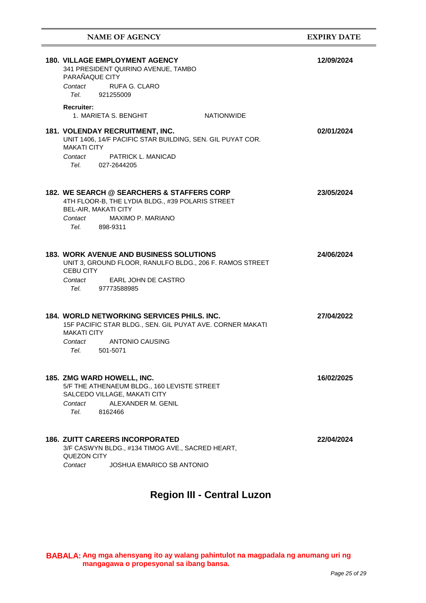| <b>NAME OF AGENCY</b>                                                                                                                                                                                                                                                                              | <b>EXPIRY DATE</b> |
|----------------------------------------------------------------------------------------------------------------------------------------------------------------------------------------------------------------------------------------------------------------------------------------------------|--------------------|
| <b>180. VILLAGE EMPLOYMENT AGENCY</b><br>341 PRESIDENT QUIRINO AVENUE, TAMBO<br>PARAÑAQUE CITY<br>Contact<br>RUFA G. CLARO<br>Tel. Telection of the Telection of the Telection of the Telection of the Telection of the Telection of the Tel<br>921255009                                          | 12/09/2024         |
| <b>Recruiter:</b><br>1. MARIETA S. BENGHIT<br><b>NATIONWIDE</b>                                                                                                                                                                                                                                    |                    |
| <b>181. VOLENDAY RECRUITMENT, INC.</b><br>UNIT 1406, 14/F PACIFIC STAR BUILDING, SEN. GIL PUYAT COR.<br><b>MAKATI CITY</b><br><b>PATRICK L. MANICAD</b><br>Contact<br>Tel. 027-2644205                                                                                                             | 02/01/2024         |
| 182. WE SEARCH @ SEARCHERS & STAFFERS CORP<br>4TH FLOOR-B, THE LYDIA BLDG., #39 POLARIS STREET<br><b>BEL-AIR, MAKATI CITY</b><br>Contact<br>MAXIMO P. MARIANO<br>Tel. 898-9311                                                                                                                     | 23/05/2024         |
| <b>183. WORK AVENUE AND BUSINESS SOLUTIONS</b><br>UNIT 3, GROUND FLOOR, RANULFO BLDG., 206 F. RAMOS STREET<br><b>CEBU CITY</b><br>EARL JOHN DE CASTRO<br>Contact<br>Tel. Telection of the set of the set of the set of the set of the set of the set of the set of the set of the s<br>97773588985 | 24/06/2024         |
| <b>184. WORLD NETWORKING SERVICES PHILS. INC.</b><br>15F PACIFIC STAR BLDG., SEN. GIL PUYAT AVE. CORNER MAKATI<br><b>MAKATI CITY</b><br>ANTONIO CAUSING<br>Contact<br>Tel.<br>501-5071                                                                                                             | 27/04/2022         |
| 185. ZMG WARD HOWELL, INC.<br>5/F THE ATHENAEUM BLDG., 160 LEVISTE STREET<br>SALCEDO VILLAGE, MAKATI CITY<br>ALEXANDER M. GENIL<br>Contact<br>Tel. Teles<br>8162466                                                                                                                                | 16/02/2025         |
| <b>186. ZUITT CAREERS INCORPORATED</b><br>3/F CASWYN BLDG., #134 TIMOG AVE., SACRED HEART,<br>QUEZON CITY<br>JOSHUA EMARICO SB ANTONIO<br>Contact                                                                                                                                                  | 22/04/2024         |

## **Region III - Central Luzon**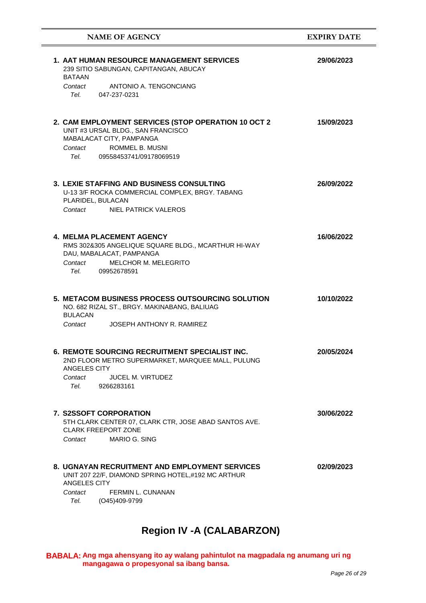| <b>NAME OF AGENCY</b>                                                                                                                                                                                                                                                                          | <b>EXPIRY DATE</b> |
|------------------------------------------------------------------------------------------------------------------------------------------------------------------------------------------------------------------------------------------------------------------------------------------------|--------------------|
| <b>1. AAT HUMAN RESOURCE MANAGEMENT SERVICES</b><br>239 SITIO SABUNGAN, CAPITANGAN, ABUCAY<br><b>BATAAN</b><br>Contact ANTONIO A. TENGONCIANG<br>Tel. 047-237-0231                                                                                                                             | 29/06/2023         |
| 2. CAM EMPLOYMENT SERVICES (STOP OPERATION 10 OCT 2<br>UNIT #3 URSAL BLDG., SAN FRANCISCO<br>MABALACAT CITY, PAMPANGA<br>Contact ROMMEL B. MUSNI<br>Tel. Telection of the set of the set of the set of the set of the set of the set of the set of the set of the s<br>09558453741/09178069519 | 15/09/2023         |
| 3. LEXIE STAFFING AND BUSINESS CONSULTING<br>U-13 3/F ROCKA COMMERCIAL COMPLEX, BRGY. TABANG<br>PLARIDEL, BULACAN<br>Contact<br>NIEL PATRICK VALEROS                                                                                                                                           | 26/09/2022         |
| <b>4. MELMA PLACEMENT AGENCY</b><br>RMS 302&305 ANGELIQUE SQUARE BLDG., MCARTHUR HI-WAY<br>DAU, MABALACAT, PAMPANGA<br>MELCHOR M. MELEGRITO<br>Contact<br>Tel. 09952678591                                                                                                                     | 16/06/2022         |
| 5. METACOM BUSINESS PROCESS OUTSOURCING SOLUTION<br>NO. 682 RIZAL ST., BRGY. MAKINABANG, BALIUAG<br><b>BULACAN</b><br>JOSEPH ANTHONY R. RAMIREZ<br>Contact                                                                                                                                     | 10/10/2022         |
| <b>6. REMOTE SOURCING RECRUITMENT SPECIALIST INC.</b><br>2ND FLOOR METRO SUPERMARKET, MARQUEE MALL, PULUNG<br><b>ANGELES CITY</b><br><b>JUCEL M. VIRTUDEZ</b><br>Contact<br>9266283161<br>Tel.                                                                                                 | 20/05/2024         |
| 7. S2SSOFT CORPORATION<br>5TH CLARK CENTER 07, CLARK CTR, JOSE ABAD SANTOS AVE.<br><b>CLARK FREEPORT ZONE</b><br>MARIO G. SING<br>Contact                                                                                                                                                      | 30/06/2022         |
| <b>8. UGNAYAN RECRUITMENT AND EMPLOYMENT SERVICES</b><br>UNIT 207 22/F, DIAMOND SPRING HOTEL,#192 MC ARTHUR<br>ANGELES CITY<br>Contact<br><b>FERMIN L. CUNANAN</b><br>Tel.<br>(O45)409-9799                                                                                                    | 02/09/2023         |

# **Region IV -A (CALABARZON)**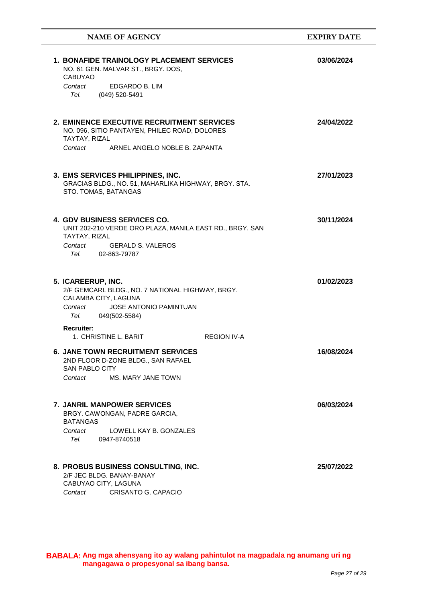| <b>NAME OF AGENCY</b>                                                                                                                                                                                                                                                                     | <b>EXPIRY DATE</b> |
|-------------------------------------------------------------------------------------------------------------------------------------------------------------------------------------------------------------------------------------------------------------------------------------------|--------------------|
| <b>1. BONAFIDE TRAINOLOGY PLACEMENT SERVICES</b><br>NO. 61 GEN. MALVAR ST., BRGY. DOS,<br><b>CABUYAO</b><br>EDGARDO B. LIM<br>Contact<br>(049) 520-5491<br>Tel. Teles                                                                                                                     | 03/06/2024         |
| 2. EMINENCE EXECUTIVE RECRUITMENT SERVICES<br>NO. 096, SITIO PANTAYEN, PHILEC ROAD, DOLORES<br>TAYTAY, RIZAL<br>Contact<br>ARNEL ANGELO NOBLE B. ZAPANTA                                                                                                                                  | 24/04/2022         |
| 3. EMS SERVICES PHILIPPINES, INC.<br>GRACIAS BLDG., NO. 51, MAHARLIKA HIGHWAY, BRGY. STA.<br>STO. TOMAS, BATANGAS                                                                                                                                                                         | 27/01/2023         |
| <b>4. GDV BUSINESS SERVICES CO.</b><br>UNIT 202-210 VERDE ORO PLAZA, MANILA EAST RD., BRGY. SAN<br>TAYTAY, RIZAL<br>Contact<br><b>GERALD S. VALEROS</b><br>Tel. Telection of the Telection of the Telection of the Telection of the Telection of the Telection of the Tel<br>02-863-79787 | 30/11/2024         |
| 5. ICAREERUP, INC.<br>2/F GEMCARL BLDG., NO. 7 NATIONAL HIGHWAY, BRGY.<br>CALAMBA CITY, LAGUNA<br>JOSE ANTONIO PAMINTUAN<br>Contact<br>Tel.<br>049(502-5584)                                                                                                                              | 01/02/2023         |
| <b>Recruiter:</b><br>1. CHRISTINE L. BARIT<br><b>REGION IV-A</b><br><b>6. JANE TOWN RECRUITMENT SERVICES</b><br>2ND FLOOR D-ZONE BLDG., SAN RAFAEL<br><b>SAN PABLO CITY</b><br>MS. MARY JANE TOWN<br>Contact                                                                              | 16/08/2024         |
| <b>7. JANRIL MANPOWER SERVICES</b><br>BRGY. CAWONGAN, PADRE GARCIA,<br><b>BATANGAS</b><br>LOWELL KAY B. GONZALES<br>Contact<br>Tel.<br>0947-8740518                                                                                                                                       | 06/03/2024         |
| 8. PROBUS BUSINESS CONSULTING, INC.<br>2/F JEC BLDG, BANAY-BANAY<br>CABUYAO CITY, LAGUNA<br>CRISANTO G. CAPACIO<br>Contact                                                                                                                                                                | 25/07/2022         |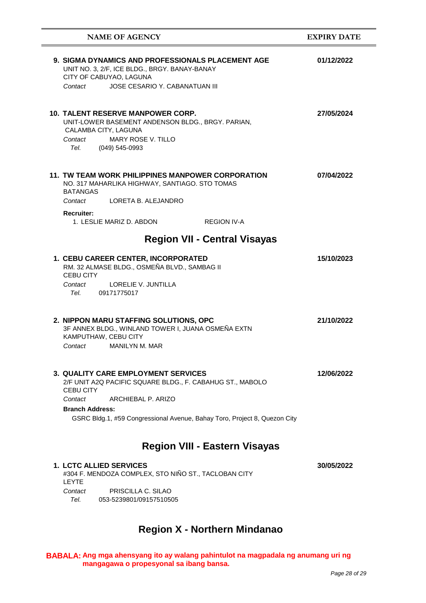| <b>NAME OF AGENCY</b>                                                                                                                                                                                                                                        | <b>EXPIRY DATE</b> |
|--------------------------------------------------------------------------------------------------------------------------------------------------------------------------------------------------------------------------------------------------------------|--------------------|
| <b>9. SIGMA DYNAMICS AND PROFESSIONALS PLACEMENT AGE</b><br>UNIT NO. 3, 2/F, ICE BLDG., BRGY. BANAY-BANAY<br>CITY OF CABUYAO, LAGUNA<br>JOSE CESARIO Y. CABANATUAN III<br>Contact                                                                            | 01/12/2022         |
| <b>10. TALENT RESERVE MANPOWER CORP.</b><br>UNIT-LOWER BASEMENT ANDENSON BLDG., BRGY. PARIAN,<br>CALAMBA CITY, LAGUNA<br>Contact<br>MARY ROSE V. TILLO<br>Tel. (049) 545-0993                                                                                | 27/05/2024         |
| 11. TW TEAM WORK PHILIPPINES MANPOWER CORPORATION<br>NO. 317 MAHARLIKA HIGHWAY, SANTIAGO. STO TOMAS<br><b>BATANGAS</b><br>Contact LORETA B. ALEJANDRO                                                                                                        | 07/04/2022         |
| <b>Recruiter:</b><br>1. LESLIE MARIZ D. ABDON<br><b>REGION IV-A</b>                                                                                                                                                                                          |                    |
| <b>Region VII - Central Visayas</b>                                                                                                                                                                                                                          |                    |
| 1. CEBU CAREER CENTER, INCORPORATED<br>RM. 32 ALMASE BLDG., OSMEÑA BLVD., SAMBAG II<br><b>CEBU CITY</b><br><b>LORELIE V. JUNTILLA</b><br>Contact<br>Tel. 09171775017                                                                                         | 15/10/2023         |
| 2. NIPPON MARU STAFFING SOLUTIONS, OPC<br>3F ANNEX BLDG., WINLAND TOWER I, JUANA OSMEÑA EXTN<br>KAMPUTHAW, CEBU CITY<br>MANILYN M. MAR<br>Contact                                                                                                            | 21/10/2022         |
| 3. QUALITY CARE EMPLOYMENT SERVICES<br>2/F UNIT A2Q PACIFIC SQUARE BLDG., F. CABAHUG ST., MABOLO<br><b>CEBU CITY</b><br>ARCHIEBAL P. ARIZO<br>Contact<br><b>Branch Address:</b><br>GSRC Bldg.1, #59 Congressional Avenue, Bahay Toro, Project 8, Quezon City | 12/06/2022         |
| <b>Region VIII - Eastern Visayas</b>                                                                                                                                                                                                                         |                    |
| <b>1. LCTC ALLIED SERVICES</b><br>#304 F. MENDOZA COMPLEX, STO NIÑO ST., TACLOBAN CITY<br><b>LEYTE</b><br>PRISCILLA C. SILAO<br>Contact                                                                                                                      | 30/05/2022         |

053-5239801/09157510505 *Tel.* 

## **Region X - Northern Mindanao**